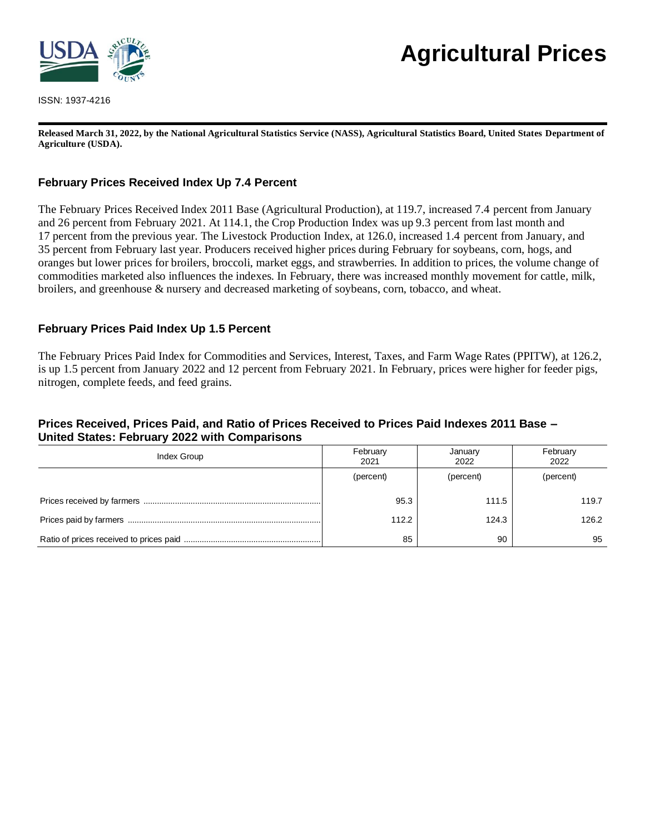

ISSN: 1937-4216

# **Agricultural Prices**

**Released March 31, 2022, by the National Agricultural Statistics Service (NASS), Agricultural Statistics Board, United States Department of Agriculture (USDA).**

# **February Prices Received Index Up 7.4 Percent**

The February Prices Received Index 2011 Base (Agricultural Production), at 119.7, increased 7.4 percent from January and 26 percent from February 2021. At 114.1, the Crop Production Index was up 9.3 percent from last month and 17 percent from the previous year. The Livestock Production Index, at 126.0, increased 1.4 percent from January, and 35 percent from February last year. Producers received higher prices during February for soybeans, corn, hogs, and oranges but lower prices for broilers, broccoli, market eggs, and strawberries. In addition to prices, the volume change of commodities marketed also influences the indexes. In February, there was increased monthly movement for cattle, milk, broilers, and greenhouse & nursery and decreased marketing of soybeans, corn, tobacco, and wheat.

## **February Prices Paid Index Up 1.5 Percent**

The February Prices Paid Index for Commodities and Services, Interest, Taxes, and Farm Wage Rates (PPITW), at 126.2, is up 1.5 percent from January 2022 and 12 percent from February 2021. In February, prices were higher for feeder pigs, nitrogen, complete feeds, and feed grains.

## **Prices Received, Prices Paid, and Ratio of Prices Received to Prices Paid Indexes 2011 Base – United States: February 2022 with Comparisons**

| Index Group | February<br>2021 | January<br>2022 | February<br>2022 |
|-------------|------------------|-----------------|------------------|
|             | (percent)        | (percent)       | (percent)        |
|             | 95.3             | 111.5           | 119.7            |
|             | 112.2            | 124.3           | 126.2            |
|             | 85               | 90              | 95               |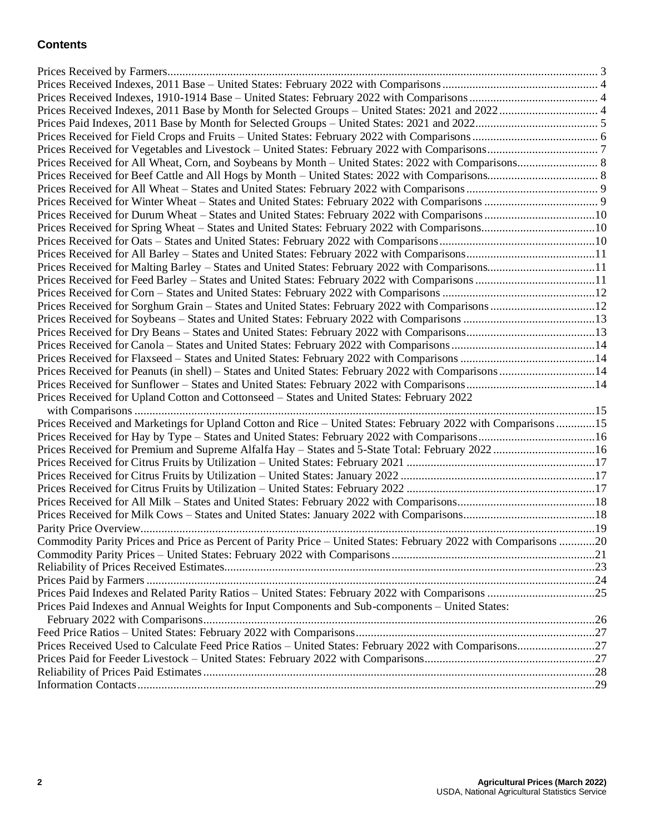# **Contents**

| Prices Received for Durum Wheat - States and United States: February 2022 with Comparisons10                    |  |
|-----------------------------------------------------------------------------------------------------------------|--|
| Prices Received for Spring Wheat - States and United States: February 2022 with Comparisons10                   |  |
|                                                                                                                 |  |
|                                                                                                                 |  |
| Prices Received for Malting Barley - States and United States: February 2022 with Comparisons11                 |  |
|                                                                                                                 |  |
|                                                                                                                 |  |
| Prices Received for Sorghum Grain - States and United States: February 2022 with Comparisons 12                 |  |
|                                                                                                                 |  |
|                                                                                                                 |  |
|                                                                                                                 |  |
|                                                                                                                 |  |
| Prices Received for Peanuts (in shell) - States and United States: February 2022 with Comparisons 14            |  |
|                                                                                                                 |  |
|                                                                                                                 |  |
| Prices Received for Upland Cotton and Cottonseed - States and United States: February 2022                      |  |
|                                                                                                                 |  |
| Prices Received and Marketings for Upland Cotton and Rice - United States: February 2022 with Comparisons15     |  |
|                                                                                                                 |  |
| Prices Received for Premium and Supreme Alfalfa Hay - States and 5-State Total: February 2022 16                |  |
|                                                                                                                 |  |
|                                                                                                                 |  |
|                                                                                                                 |  |
|                                                                                                                 |  |
|                                                                                                                 |  |
|                                                                                                                 |  |
| Commodity Parity Prices and Price as Percent of Parity Price - United States: February 2022 with Comparisons 20 |  |
|                                                                                                                 |  |
|                                                                                                                 |  |
|                                                                                                                 |  |
|                                                                                                                 |  |
| Prices Paid Indexes and Annual Weights for Input Components and Sub-components – United States:                 |  |
|                                                                                                                 |  |
|                                                                                                                 |  |
|                                                                                                                 |  |
|                                                                                                                 |  |
|                                                                                                                 |  |
|                                                                                                                 |  |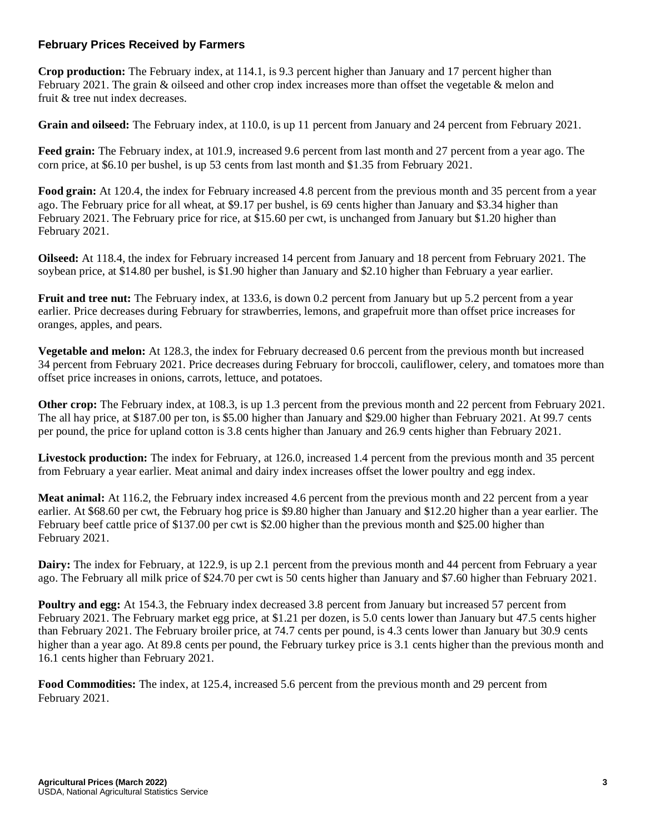## **February Prices Received by Farmers**

**Crop production:** The February index, at 114.1, is 9.3 percent higher than January and 17 percent higher than February 2021. The grain & oilseed and other crop index increases more than offset the vegetable & melon and fruit & tree nut index decreases.

**Grain and oilseed:** The February index, at 110.0, is up 11 percent from January and 24 percent from February 2021.

**Feed grain:** The February index, at 101.9, increased 9.6 percent from last month and 27 percent from a year ago. The corn price, at \$6.10 per bushel, is up 53 cents from last month and \$1.35 from February 2021.

**Food grain:** At 120.4, the index for February increased 4.8 percent from the previous month and 35 percent from a year ago. The February price for all wheat, at \$9.17 per bushel, is 69 cents higher than January and \$3.34 higher than February 2021. The February price for rice, at \$15.60 per cwt, is unchanged from January but \$1.20 higher than February 2021.

**Oilseed:** At 118.4, the index for February increased 14 percent from January and 18 percent from February 2021. The soybean price, at \$14.80 per bushel, is \$1.90 higher than January and \$2.10 higher than February a year earlier.

**Fruit and tree nut:** The February index, at 133.6, is down 0.2 percent from January but up 5.2 percent from a year earlier. Price decreases during February for strawberries, lemons, and grapefruit more than offset price increases for oranges, apples, and pears.

**Vegetable and melon:** At 128.3, the index for February decreased 0.6 percent from the previous month but increased 34 percent from February 2021. Price decreases during February for broccoli, cauliflower, celery, and tomatoes more than offset price increases in onions, carrots, lettuce, and potatoes.

**Other crop:** The February index, at 108.3, is up 1.3 percent from the previous month and 22 percent from February 2021. The all hay price, at \$187.00 per ton, is \$5.00 higher than January and \$29.00 higher than February 2021. At 99.7 cents per pound, the price for upland cotton is 3.8 cents higher than January and 26.9 cents higher than February 2021.

**Livestock production:** The index for February, at 126.0, increased 1.4 percent from the previous month and 35 percent from February a year earlier. Meat animal and dairy index increases offset the lower poultry and egg index.

**Meat animal:** At 116.2, the February index increased 4.6 percent from the previous month and 22 percent from a year earlier. At \$68.60 per cwt, the February hog price is \$9.80 higher than January and \$12.20 higher than a year earlier. The February beef cattle price of \$137.00 per cwt is \$2.00 higher than the previous month and \$25.00 higher than February 2021.

**Dairy:** The index for February, at 122.9, is up 2.1 percent from the previous month and 44 percent from February a year ago. The February all milk price of \$24.70 per cwt is 50 cents higher than January and \$7.60 higher than February 2021.

**Poultry and egg:** At 154.3, the February index decreased 3.8 percent from January but increased 57 percent from February 2021. The February market egg price, at \$1.21 per dozen, is 5.0 cents lower than January but 47.5 cents higher than February 2021. The February broiler price, at 74.7 cents per pound, is 4.3 cents lower than January but 30.9 cents higher than a year ago. At 89.8 cents per pound, the February turkey price is 3.1 cents higher than the previous month and 16.1 cents higher than February 2021.

**Food Commodities:** The index, at 125.4, increased 5.6 percent from the previous month and 29 percent from February 2021.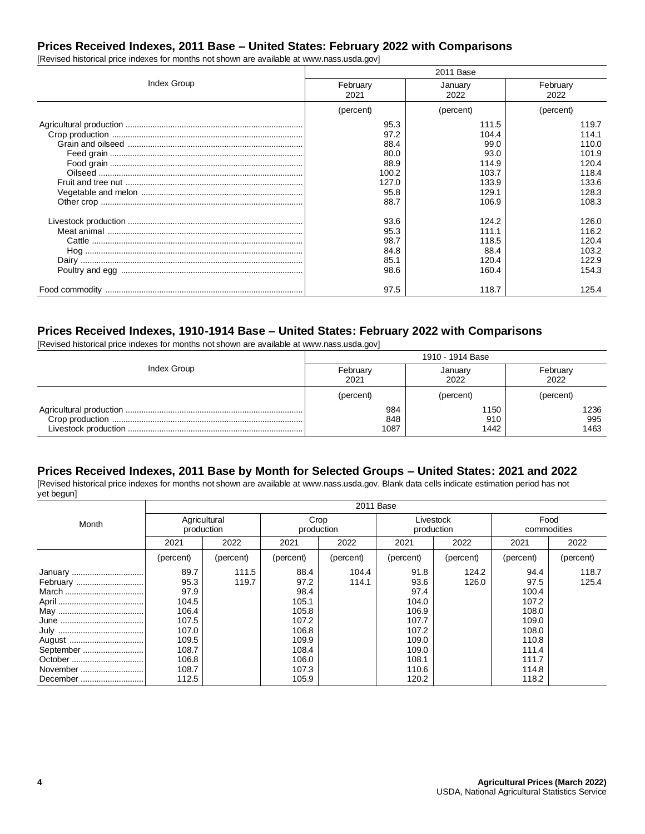# **Prices Received Indexes, 2011 Base – United States: February 2022 with Comparisons**

[Revised historical price indexes for months not shown are available at www.nass.usda.gov]

|             |           | 2011 Base |           |
|-------------|-----------|-----------|-----------|
| Index Group | February  | January   | February  |
|             | 2021      | 2022      | 2022      |
|             | (percent) | (percent) | (percent) |
|             | 95.3      | 111.5     | 119.7     |
|             | 97.2      | 104.4     | 114.1     |
|             | 88.4      | 99.0      | 110.0     |
|             | 80.0      | 93.0      | 101.9     |
|             | 88.9      | 114.9     | 120.4     |
|             | 100.2     | 103.7     | 118.4     |
|             | 127.0     | 133.9     | 133.6     |
|             | 95.8      | 129.1     | 128.3     |
|             | 88.7      | 106.9     | 108.3     |
|             | 93.6      | 124.2     | 126.0     |
|             | 95.3      | 111.1     | 116.2     |
|             | 98.7      | 118.5     | 120.4     |
|             | 84.8      | 88.4      | 103.2     |
|             | 85.1      | 120.4     | 122.9     |
|             | 98.6      | 160.4     | 154.3     |
|             | 97.5      | 118.7     | 125.4     |

## **Prices Received Indexes, 1910-1914 Base – United States: February 2022 with Comparisons**

[Revised historical price indexes for months not shown are available at www.nass.usda.gov]

|             | 1910 - 1914 Base |           |           |  |  |
|-------------|------------------|-----------|-----------|--|--|
| Index Group | February         | January   | February  |  |  |
|             | 2021             | 2022      | 2022      |  |  |
|             | (percent)        | (percent) | (percent) |  |  |
|             | 984              | 1150      | 1236      |  |  |
|             | 848              | 910       | 995       |  |  |
|             | 1087             | 1442      | 1463      |  |  |

#### **Prices Received Indexes, 2011 Base by Month for Selected Groups – United States: 2021 and 2022**

[Revised historical price indexes for months not shown are available at www.nass.usda.gov. Blank data cells indicate estimation period has not yet begun]

|           | 2011 Base                  |           |                    |           |                         |           |                     |           |
|-----------|----------------------------|-----------|--------------------|-----------|-------------------------|-----------|---------------------|-----------|
| Month     | Agricultural<br>production |           | Crop<br>production |           | Livestock<br>production |           | Food<br>commodities |           |
|           | 2021                       | 2022      | 2021               | 2022      | 2021                    | 2022      | 2021                | 2022      |
|           | (percent)                  | (percent) | (percent)          | (percent) | (percent)               | (percent) | (percent)           | (percent) |
| January   | 89.7                       | 111.5     | 88.4               | 104.4     | 91.8                    | 124.2     | 94.4                | 118.7     |
|           | 95.3                       | 119.7     | 97.2               | 114.1     | 93.6                    | 126.0     | 97.5                | 125.4     |
| March     | 97.9                       |           | 98.4               |           | 97.4                    |           | 100.4               |           |
|           | 104.5                      |           | 105.1              |           | 104.0                   |           | 107.2               |           |
|           | 106.4                      |           | 105.8              |           | 106.9                   |           | 108.0               |           |
|           | 107.5                      |           | 107.2              |           | 107.7                   |           | 109.0               |           |
|           | 107.0                      |           | 106.8              |           | 107.2                   |           | 108.0               |           |
|           | 109.5                      |           | 109.9              |           | 109.0                   |           | 110.8               |           |
| September | 108.7                      |           | 108.4              |           | 109.0                   |           | 111.4               |           |
|           | 106.8                      |           | 106.0              |           | 108.1                   |           | 111.7               |           |
| November  | 108.7                      |           | 107.3              |           | 110.6                   |           | 114.8               |           |
| December  | 112.5                      |           | 105.9              |           | 120.2                   |           | 118.2               |           |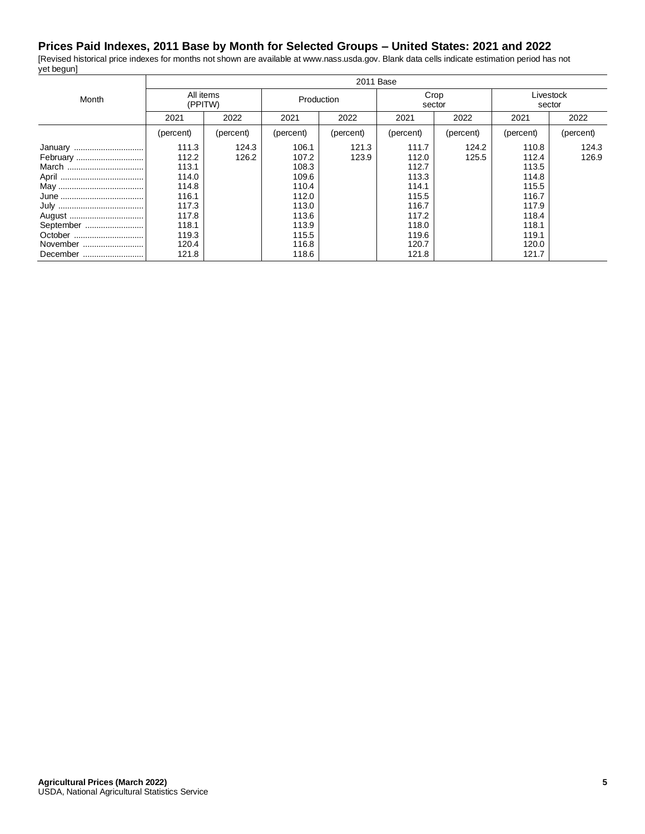## **Prices Paid Indexes, 2011 Base by Month for Selected Groups – United States: 2021 and 2022**

[Revised historical price indexes for months not shown are available at www.nass.usda.gov. Blank data cells indicate estimation period has not yet begun]  $\overline{\mathsf{T}}$ 

|           | 2011 Base            |           |            |           |                |           |                     |           |
|-----------|----------------------|-----------|------------|-----------|----------------|-----------|---------------------|-----------|
| Month     | All items<br>(PPITW) |           | Production |           | Crop<br>sector |           | Livestock<br>sector |           |
|           | 2021                 | 2022      | 2021       | 2022      | 2021           | 2022      | 2021                | 2022      |
|           | (percent)            | (percent) | (percent)  | (percent) | (percent)      | (percent) | (percent)           | (percent) |
| January   | 111.3                | 124.3     | 106.1      | 121.3     | 111.7          | 124.2     | 110.8               | 124.3     |
| February  | 112.2                | 126.2     | 107.2      | 123.9     | 112.0          | 125.5     | 112.4               | 126.9     |
| March     | 113.1                |           | 108.3      |           | 112.7          |           | 113.5               |           |
|           | 114.0                |           | 109.6      |           | 113.3          |           | 114.8               |           |
|           | 114.8                |           | 110.4      |           | 114.1          |           | 115.5               |           |
|           | 116.1                |           | 112.0      |           | 115.5          |           | 116.7               |           |
|           | 117.3                |           | 113.0      |           | 116.7          |           | 117.9               |           |
|           | 117.8                |           | 113.6      |           | 117.2          |           | 118.4               |           |
| September | 118.1                |           | 113.9      |           | 118.0          |           | 118.1               |           |
| October   | 119.3                |           | 115.5      |           | 119.6          |           | 119.1               |           |
| November  | 120.4                |           | 116.8      |           | 120.7          |           | 120.0               |           |
| December  | 121.8                |           | 118.6      |           | 121.8          |           | 121.7               |           |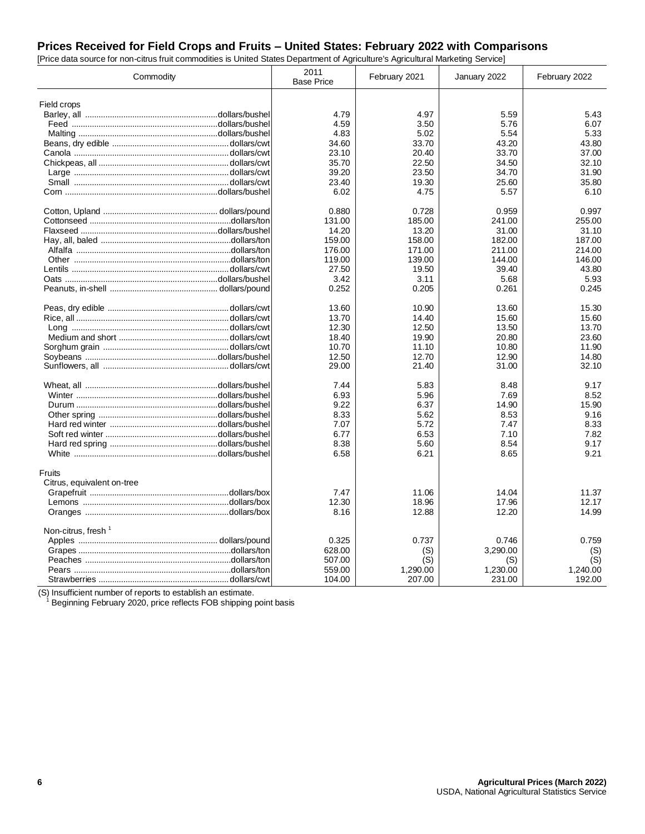## **Prices Received for Field Crops and Fruits – United States: February 2022 with Comparisons**

[Price data source for non-citrus fruit commodities is United States Department of Agriculture's Agricultural Marketing Service]

|                                | Commodity | 2011<br><b>Base Price</b> | February 2021 | January 2022 | February 2022 |
|--------------------------------|-----------|---------------------------|---------------|--------------|---------------|
|                                |           |                           |               |              |               |
| Field crops                    |           | 4.79                      | 4.97          | 5.59         | 5.43          |
|                                |           | 4.59                      | 3.50          | 5.76         | 6.07          |
|                                |           | 4.83                      | 5.02          | 5.54         | 5.33          |
|                                |           |                           |               |              | 43.80         |
|                                |           | 34.60                     | 33.70         | 43.20        |               |
|                                |           | 23.10                     | 20.40         | 33.70        | 37.00         |
|                                |           | 35.70                     | 22.50         | 34.50        | 32.10         |
|                                |           | 39.20                     | 23.50         | 34.70        | 31.90         |
|                                |           | 23.40                     | 19.30         | 25.60        | 35.80         |
|                                |           | 6.02                      | 4.75          | 5.57         | 6.10          |
|                                |           | 0.880                     | 0.728         | 0.959        | 0.997         |
|                                |           | 131.00                    | 185.00        | 241.00       | 255.00        |
|                                |           | 14.20                     | 13.20         | 31.00        | 31.10         |
|                                |           | 159.00                    | 158.00        | 182.00       | 187.00        |
|                                |           | 176.00                    | 171.00        | 211.00       | 214.00        |
|                                |           | 119.00                    | 139.00        | 144.00       | 146.00        |
|                                |           | 27.50                     | 19.50         | 39.40        | 43.80         |
|                                |           | 3.42                      | 3.11          | 5.68         | 5.93          |
|                                |           | 0.252                     | 0.205         | 0.261        | 0.245         |
|                                |           | 13.60                     | 10.90         | 13.60        | 15.30         |
|                                |           | 13.70                     | 14.40         | 15.60        | 15.60         |
|                                |           | 12.30                     | 12.50         | 13.50        | 13.70         |
|                                |           | 18.40                     | 19.90         | 20.80        | 23.60         |
|                                |           | 10.70                     | 11.10         | 10.80        | 11.90         |
|                                |           | 12.50                     | 12.70         | 12.90        | 14.80         |
|                                |           | 29.00                     | 21.40         | 31.00        | 32.10         |
|                                |           | 7.44                      | 5.83          | 8.48         | 9.17          |
|                                |           | 6.93                      | 5.96          | 7.69         | 8.52          |
|                                |           | 9.22                      | 6.37          | 14.90        | 15.90         |
|                                |           | 8.33                      | 5.62          | 8.53         | 9.16          |
|                                |           | 7.07                      | 5.72          | 7.47         | 8.33          |
|                                |           | 6.77                      | 6.53          | 7.10         | 7.82          |
|                                |           | 8.38                      | 5.60          | 8.54         | 9.17          |
|                                |           | 6.58                      | 6.21          | 8.65         | 9.21          |
| Fruits                         |           |                           |               |              |               |
| Citrus, equivalent on-tree     |           |                           |               |              |               |
|                                |           | 7.47                      | 11.06         | 14.04        | 11.37         |
|                                |           | 12.30                     | 18.96         | 17.96        | 12.17         |
|                                |           | 8.16                      | 12.88         | 12.20        | 14.99         |
| Non-citrus, fresh <sup>1</sup> |           |                           |               |              |               |
|                                |           | 0.325                     | 0.737         | 0.746        | 0.759         |
|                                |           | 628.00                    | (S)           | 3,290.00     | (S)           |
|                                |           | 507.00                    | (S)           | (S)          | (S)           |
|                                |           | 559.00                    | 1,290.00      | 1,230.00     | 1,240.00      |
|                                |           | 104.00                    | 207.00        | 231.00       | 192.00        |

(S) Insufficient number of reports to establish an estimate.

 $1$  Beginning February 2020, price reflects FOB shipping point basis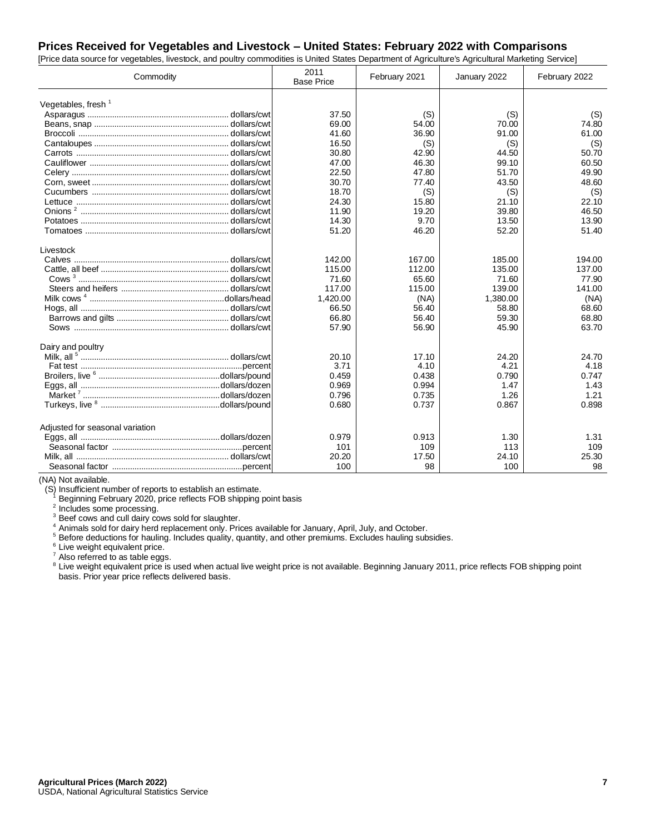## **Prices Received for Vegetables and Livestock – United States: February 2022 with Comparisons**

| [Price data source for vegetables, livestock, and poultry commodities is United States Department of Agriculture's Agricultural Marketing Service] |                           |               |              |               |  |  |
|----------------------------------------------------------------------------------------------------------------------------------------------------|---------------------------|---------------|--------------|---------------|--|--|
| Commodity                                                                                                                                          | 2011<br><b>Base Price</b> | February 2021 | January 2022 | February 2022 |  |  |
| Vegetables, fresh $1$                                                                                                                              |                           |               |              |               |  |  |
|                                                                                                                                                    | 37.50                     | (S)           | (S)          | (S)           |  |  |
|                                                                                                                                                    | 69.00                     | 54.00         | 70.00        | 74.80         |  |  |
|                                                                                                                                                    | 41.60                     | 36.90         | 91.00        | 61.00         |  |  |
|                                                                                                                                                    | 16.50                     | (S)           | (S)          | (S)           |  |  |
|                                                                                                                                                    | 30.80                     | 42.90         | 44.50        | 50.70         |  |  |
|                                                                                                                                                    | 47.00                     | 46.30         | 99.10        | 60.50         |  |  |
|                                                                                                                                                    | 22.50                     | 47.80         | 51.70        | 49.90         |  |  |
|                                                                                                                                                    | 30.70                     | 77.40         | 43.50        | 48.60         |  |  |
|                                                                                                                                                    | 18.70                     | (S)           | (S)          | (S)           |  |  |
|                                                                                                                                                    | 24.30                     | 15.80         | 21.10        | 22.10         |  |  |
|                                                                                                                                                    | 11.90                     | 19.20         | 39.80        | 46.50         |  |  |
|                                                                                                                                                    | 14.30                     | 9.70          | 13.50        | 13.90         |  |  |
|                                                                                                                                                    | 51.20                     | 46.20         | 52.20        | 51.40         |  |  |
| Livestock                                                                                                                                          |                           |               |              |               |  |  |
|                                                                                                                                                    | 142.00                    | 167.00        | 185.00       | 194.00        |  |  |
|                                                                                                                                                    | 115.00                    | 112.00        | 135.00       | 137.00        |  |  |
|                                                                                                                                                    | 71.60                     | 65.60         | 71.60        | 77.90         |  |  |
|                                                                                                                                                    | 117.00                    | 115.00        | 139.00       | 141.00        |  |  |
|                                                                                                                                                    | 1,420.00                  | (NA)          | 1,380.00     | (NA)          |  |  |
|                                                                                                                                                    | 66.50                     | 56.40         | 58.80        | 68.60         |  |  |
|                                                                                                                                                    | 66.80                     | 56.40         | 59.30        | 68.80         |  |  |
|                                                                                                                                                    | 57.90                     | 56.90         | 45.90        | 63.70         |  |  |
| Dairy and poultry                                                                                                                                  |                           |               |              |               |  |  |
|                                                                                                                                                    | 20.10                     | 17.10         | 24.20        | 24.70         |  |  |
|                                                                                                                                                    | 3.71                      | 4.10          | 4.21         | 4.18          |  |  |
|                                                                                                                                                    | 0.459                     | 0.438         | 0.790        | 0.747         |  |  |
|                                                                                                                                                    | 0.969                     | 0.994         | 1.47         | 1.43          |  |  |
|                                                                                                                                                    | 0.796                     | 0.735         | 1.26         | 1.21          |  |  |
|                                                                                                                                                    | 0.680                     | 0.737         | 0.867        | 0.898         |  |  |
| Adjusted for seasonal variation                                                                                                                    |                           |               |              |               |  |  |
|                                                                                                                                                    | 0.979                     | 0.913         | 1.30         | 1.31          |  |  |
|                                                                                                                                                    | 101                       | 109           | 113          | 109           |  |  |
|                                                                                                                                                    | 20.20                     | 17.50         | 24.10        | 25.30         |  |  |
|                                                                                                                                                    | 100                       | 98            | 100          | 98            |  |  |

(NA) Not available.

(S) Insufficient number of reports to establish an estimate. <sup>1</sup> Beginning February 2020, price reflects FOB shipping point basis

<sup>2</sup> Includes some processing.

<sup>3</sup> Beef cows and cull dairy cows sold for slaughter.

<sup>4</sup> Animals sold for dairy herd replacement only. Prices available for January, April, July, and October.

<sup>5</sup> Before deductions for hauling. Includes quality, quantity, and other premiums. Excludes hauling subsidies.

<sup>6</sup> Live weight equivalent price.

<sup>7</sup> Also referred to as table eggs.

<sup>8</sup> Live weight equivalent price is used when actual live weight price is not available. Beginning January 2011, price reflects FOB shipping point basis. Prior year price reflects delivered basis.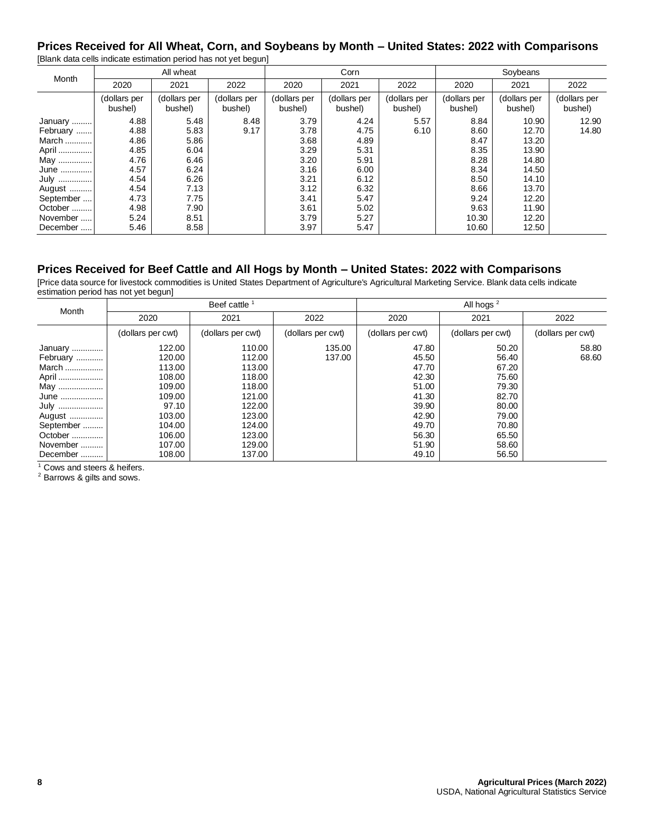#### **Prices Received for All Wheat, Corn, and Soybeans by Month – United States: 2022 with Comparisons** [Blank data cells indicate estimation period has not yet begun]

| Month     |                         | All wheat               |                         | Corn                    |                         |                         | Soybeans                |                         |                         |
|-----------|-------------------------|-------------------------|-------------------------|-------------------------|-------------------------|-------------------------|-------------------------|-------------------------|-------------------------|
|           | 2020                    | 2021                    | 2022                    | 2020                    | 2021                    | 2022                    | 2020                    | 2021                    | 2022                    |
|           | (dollars per<br>bushel) | (dollars per<br>bushel) | (dollars per<br>bushel) | (dollars per<br>bushel) | (dollars per<br>bushel) | (dollars per<br>bushel) | (dollars per<br>bushel) | (dollars per<br>bushel) | (dollars per<br>bushel) |
| January   | 4.88                    | 5.48                    | 8.48                    | 3.79                    | 4.24                    | 5.57                    | 8.84                    | 10.90                   | 12.90                   |
| February  | 4.88                    | 5.83                    | 9.17                    | 3.78                    | 4.75                    | 6.10                    | 8.60                    | 12.70                   | 14.80                   |
| March     | 4.86                    | 5.86                    |                         | 3.68                    | 4.89                    |                         | 8.47                    | 13.20                   |                         |
| April     | 4.85                    | 6.04                    |                         | 3.29                    | 5.31                    |                         | 8.35                    | 13.90                   |                         |
| May       | 4.76                    | 6.46                    |                         | 3.20                    | 5.91                    |                         | 8.28                    | 14.80                   |                         |
| June      | 4.57                    | 6.24                    |                         | 3.16                    | 6.00                    |                         | 8.34                    | 14.50                   |                         |
| July      | 4.54                    | 6.26                    |                         | 3.21                    | 6.12                    |                         | 8.50                    | 14.10                   |                         |
| August    | 4.54                    | 7.13                    |                         | 3.12                    | 6.32                    |                         | 8.66                    | 13.70                   |                         |
| September | 4.73                    | 7.75                    |                         | 3.41                    | 5.47                    |                         | 9.24                    | 12.20                   |                         |
| October   | 4.98                    | 7.90                    |                         | 3.61                    | 5.02                    |                         | 9.63                    | 11.90                   |                         |
| November  | 5.24                    | 8.51                    |                         | 3.79                    | 5.27                    |                         | 10.30                   | 12.20                   |                         |
| December  | 5.46                    | 8.58                    |                         | 3.97                    | 5.47                    |                         | 10.60                   | 12.50                   |                         |

# **Prices Received for Beef Cattle and All Hogs by Month – United States: 2022 with Comparisons**

[Price data source for livestock commodities is United States Department of Agriculture's Agricultural Marketing Service. Blank data cells indicate estimation period has not yet begun]

| Month     |                   | Beef cattle       |                   | All hogs $2$      |                   |                   |  |
|-----------|-------------------|-------------------|-------------------|-------------------|-------------------|-------------------|--|
|           | 2020              | 2021              | 2022              | 2020              | 2021              | 2022              |  |
|           | (dollars per cwt) | (dollars per cwt) | (dollars per cwt) | (dollars per cwt) | (dollars per cwt) | (dollars per cwt) |  |
| January   | 122.00            | 110.00            | 135.00            | 47.80             | 50.20             | 58.80             |  |
| February  | 120.00            | 112.00            | 137.00            | 45.50             | 56.40             | 68.60             |  |
| March     | 113.00            | 113.00            |                   | 47.70             | 67.20             |                   |  |
| April     | 108.00            | 118.00            |                   | 42.30             | 75.60             |                   |  |
| May       | 109.00            | 118.00            |                   | 51.00             | 79.30             |                   |  |
| June      | 109.00            | 121.00            |                   | 41.30             | 82.70             |                   |  |
| July      | 97.10             | 122.00            |                   | 39.90             | 80.00             |                   |  |
| August    | 103.00            | 123.00            |                   | 42.90             | 79.00             |                   |  |
| September | 104.00            | 124.00            |                   | 49.70             | 70.80             |                   |  |
| October   | 106.00            | 123.00            |                   | 56.30             | 65.50             |                   |  |
| November  | 107.00            | 129.00            |                   | 51.90             | 58.60             |                   |  |
| December  | 108.00            | 137.00            |                   | 49.10             | 56.50             |                   |  |

 $\frac{1}{1}$  Cows and steers & heifers.

<sup>2</sup> Barrows & gilts and sows.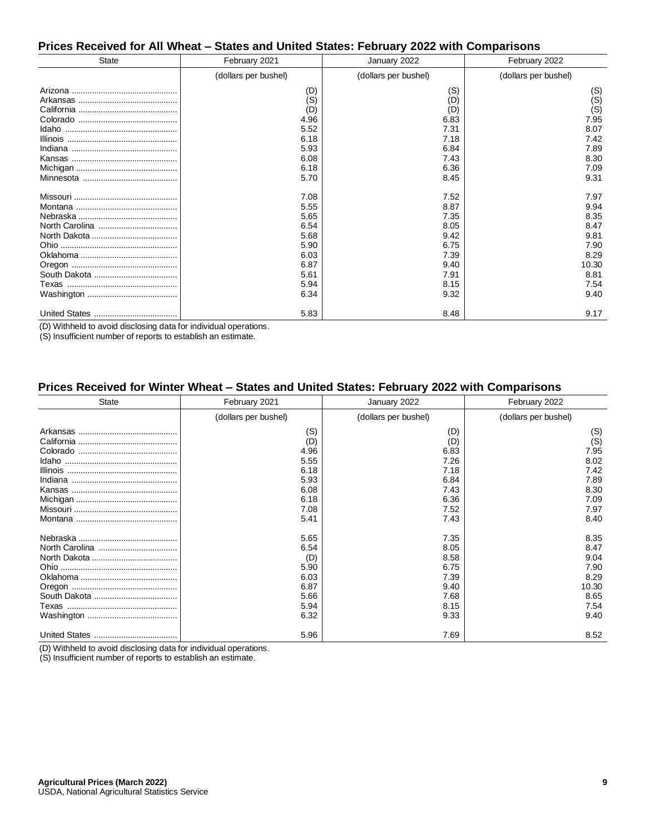#### **Prices Received for All Wheat – States and United States: February 2022 with Comparisons**

| <b>State</b>                                                                                                                                                                                                                                                                                                                                                                                                                           | February 2021        | January 2022         | February 2022        |
|----------------------------------------------------------------------------------------------------------------------------------------------------------------------------------------------------------------------------------------------------------------------------------------------------------------------------------------------------------------------------------------------------------------------------------------|----------------------|----------------------|----------------------|
|                                                                                                                                                                                                                                                                                                                                                                                                                                        | (dollars per bushel) | (dollars per bushel) | (dollars per bushel) |
|                                                                                                                                                                                                                                                                                                                                                                                                                                        | (D)                  | (S)                  | (S)                  |
|                                                                                                                                                                                                                                                                                                                                                                                                                                        | (S)<br>(D)           | (D)<br>(D)           | (S)<br>(S)           |
|                                                                                                                                                                                                                                                                                                                                                                                                                                        | 4.96                 | 6.83                 | 7.95                 |
|                                                                                                                                                                                                                                                                                                                                                                                                                                        | 5.52                 | 7.31                 | 8.07                 |
| $\blacksquare$   $\blacksquare$   $\blacksquare$   $\blacksquare$   $\blacksquare$   $\blacksquare$   $\blacksquare$   $\blacksquare$   $\blacksquare$   $\blacksquare$   $\blacksquare$   $\blacksquare$   $\blacksquare$   $\blacksquare$   $\blacksquare$   $\blacksquare$   $\blacksquare$   $\blacksquare$   $\blacksquare$   $\blacksquare$   $\blacksquare$   $\blacksquare$   $\blacksquare$   $\blacksquare$   $\blacksquare$ | 6.18                 | 7.18                 | 7.42                 |
|                                                                                                                                                                                                                                                                                                                                                                                                                                        | 5.93                 | 6.84                 | 7.89                 |
|                                                                                                                                                                                                                                                                                                                                                                                                                                        | 6.08                 | 7.43                 | 8.30                 |
|                                                                                                                                                                                                                                                                                                                                                                                                                                        | 6.18                 | 6.36                 | 7.09                 |
|                                                                                                                                                                                                                                                                                                                                                                                                                                        | 5.70                 | 8.45                 | 9.31                 |
|                                                                                                                                                                                                                                                                                                                                                                                                                                        | 7.08                 | 7.52                 | 7.97                 |
|                                                                                                                                                                                                                                                                                                                                                                                                                                        | 5.55                 | 8.87                 | 9.94                 |
|                                                                                                                                                                                                                                                                                                                                                                                                                                        | 5.65                 | 7.35                 | 8.35                 |
|                                                                                                                                                                                                                                                                                                                                                                                                                                        | 6.54                 | 8.05                 | 8.47                 |
|                                                                                                                                                                                                                                                                                                                                                                                                                                        | 5.68                 | 9.42                 | 9.81                 |
|                                                                                                                                                                                                                                                                                                                                                                                                                                        | 5.90                 | 6.75                 | 7.90                 |
|                                                                                                                                                                                                                                                                                                                                                                                                                                        | 6.03                 | 7.39                 | 8.29                 |
|                                                                                                                                                                                                                                                                                                                                                                                                                                        | 6.87                 | 9.40                 | 10.30                |
|                                                                                                                                                                                                                                                                                                                                                                                                                                        | 5.61                 | 7.91                 | 8.81                 |
|                                                                                                                                                                                                                                                                                                                                                                                                                                        | 5.94                 | 8.15                 | 7.54                 |
|                                                                                                                                                                                                                                                                                                                                                                                                                                        | 6.34                 | 9.32                 | 9.40                 |
|                                                                                                                                                                                                                                                                                                                                                                                                                                        | 5.83                 | 8.48                 | 9.17                 |

(D) Withheld to avoid disclosing data for individual operations.

(S) Insufficient number of reports to establish an estimate.

#### **Prices Received for Winter Wheat – States and United States: February 2022 with Comparisons**

| <b>State</b> | February 2021        | January 2022         | February 2022        |  |
|--------------|----------------------|----------------------|----------------------|--|
|              | (dollars per bushel) | (dollars per bushel) | (dollars per bushel) |  |
|              | (S)                  | (D)                  | (S)                  |  |
|              | (D)                  | (D)                  | (S)                  |  |
|              | 4.96                 | 6.83                 | 7.95                 |  |
|              | 5.55                 | 7.26                 | 8.02                 |  |
|              | 6.18                 | 7.18                 | 7.42                 |  |
|              | 5.93                 | 6.84                 | 7.89                 |  |
|              | 6.08                 | 7.43                 | 8.30                 |  |
|              | 6.18                 | 6.36                 | 7.09                 |  |
|              | 7.08                 | 7.52                 | 7.97                 |  |
|              | 5.41                 | 7.43                 | 8.40                 |  |
|              | 5.65                 | 7.35                 | 8.35                 |  |
|              | 6.54                 | 8.05                 | 8.47                 |  |
|              | (D)                  | 8.58                 | 9.04                 |  |
|              | 5.90                 | 6.75                 | 7.90                 |  |
|              | 6.03                 | 7.39                 | 8.29                 |  |
|              | 6.87                 | 9.40                 | 10.30                |  |
|              | 5.66                 | 7.68                 | 8.65                 |  |
|              | 5.94                 | 8.15                 | 7.54                 |  |
|              | 6.32                 | 9.33                 | 9.40                 |  |
|              | 5.96                 | 7.69                 | 8.52                 |  |

(D) Withheld to avoid disclosing data for individual operations.

(S) Insufficient number of reports to establish an estimate.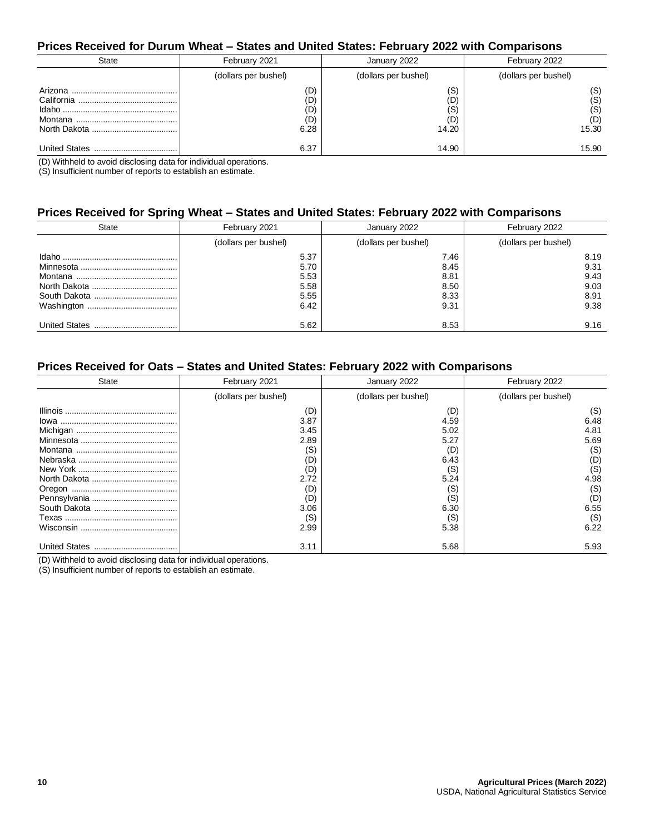#### **Prices Received for Durum Wheat – States and United States: February 2022 with Comparisons**

| State                    | February 2021                    | January 2022                      | February 2022                     |
|--------------------------|----------------------------------|-----------------------------------|-----------------------------------|
|                          | (dollars per bushel)             | (dollars per bushel)              | (dollars per bushel)              |
| Arizona                  | (D)<br>(D)<br>(D)<br>(D)<br>6.28 | (S)<br>(D)<br>(S)<br>(D)<br>14.20 | (S)<br>(S)<br>(S)<br>(D)<br>15.30 |
| <b>United States</b><br> | 6.37                             | 14.90                             | 15.90                             |

(D) Withheld to avoid disclosing data for individual operations.

(S) Insufficient number of reports to establish an estimate.

#### **Prices Received for Spring Wheat – States and United States: February 2022 with Comparisons**

| State                    | February 2021                                | January 2022                                 | February 2022                                |
|--------------------------|----------------------------------------------|----------------------------------------------|----------------------------------------------|
|                          | (dollars per bushel)                         | (dollars per bushel)                         | (dollars per bushel)                         |
|                          | 5.37<br>5.70<br>5.53<br>5.58<br>5.55<br>6.42 | 7.46<br>8.45<br>8.81<br>8.50<br>8.33<br>9.31 | 8.19<br>9.31<br>9.43<br>9.03<br>8.91<br>9.38 |
| <b>United States</b><br> | 5.62                                         | 8.53                                         | 9.16                                         |

#### **Prices Received for Oats – States and United States: February 2022 with Comparisons**

| State                    | February 2021        | January 2022         | February 2022        |
|--------------------------|----------------------|----------------------|----------------------|
|                          | (dollars per bushel) | (dollars per bushel) | (dollars per bushel) |
|                          | (D)                  | (D)                  | (S)                  |
|                          | 3.87                 | 4.59                 | 6.48                 |
|                          | 3.45                 | 5.02                 | 4.81                 |
|                          | 2.89                 | 5.27                 | 5.69                 |
|                          | (S)                  | (D)                  | (S)                  |
|                          | (D)                  | 6.43                 | (D)                  |
|                          | (D)                  | (S)                  | (S)                  |
|                          | 2.72                 | 5.24                 | 4.98                 |
|                          | (D)                  | (S)                  | (S)                  |
|                          | (D)                  | (S)                  | (D)                  |
|                          | 3.06                 | 6.30                 | 6.55                 |
|                          | (S)                  | (S)                  | (S)                  |
|                          | 2.99                 | 5.38                 | 6.22                 |
| <b>United States</b><br> | 3.11                 | 5.68                 | 5.93                 |

(D) Withheld to avoid disclosing data for individual operations.

(S) Insufficient number of reports to establish an estimate.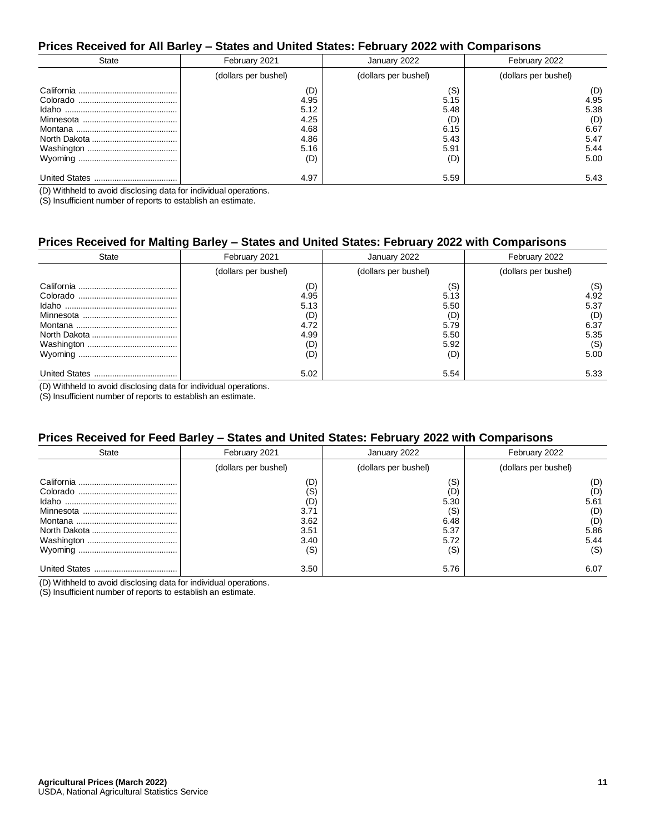#### **Prices Received for All Barley – States and United States: February 2022 with Comparisons**

| State                    | February 2021                                       | January 2022                                       | February 2022                                      |
|--------------------------|-----------------------------------------------------|----------------------------------------------------|----------------------------------------------------|
|                          | (dollars per bushel)                                | (dollars per bushel)                               | (dollars per bushel)                               |
|                          | (D)<br>4.95<br>5.12<br>4.25<br>4.68<br>4.86<br>5.16 | (S)<br>5.15<br>5.48<br>(D)<br>6.15<br>5.43<br>5.91 | (D)<br>4.95<br>5.38<br>(D)<br>6.67<br>5.47<br>5.44 |
| Wyoming                  | (D)                                                 | (D)                                                | 5.00                                               |
| <b>United States</b><br> | 4.97                                                | 5.59                                               | 5.43                                               |

(D) Withheld to avoid disclosing data for individual operations.

(S) Insufficient number of reports to establish an estimate.

#### **Prices Received for Malting Barley – States and United States: February 2022 with Comparisons**

|                          | -                                                        |                                                           |                                                           |
|--------------------------|----------------------------------------------------------|-----------------------------------------------------------|-----------------------------------------------------------|
| <b>State</b>             | February 2021                                            | January 2022                                              | February 2022                                             |
|                          | (dollars per bushel)                                     | (dollars per bushel)                                      | (dollars per bushel)                                      |
|                          | (D)<br>4.95<br>5.13<br>(D)<br>4.72<br>4.99<br>(D)<br>(D) | (S)<br>5.13<br>5.50<br>(D)<br>5.79<br>5.50<br>5.92<br>(D) | (S)<br>4.92<br>5.37<br>(D)<br>6.37<br>5.35<br>(S)<br>5.00 |
| <b>United States</b><br> | 5.02                                                     | 5.54                                                      | 5.33                                                      |

(D) Withheld to avoid disclosing data for individual operations.

(S) Insufficient number of reports to establish an estimate.

#### **Prices Received for Feed Barley – States and United States: February 2022 with Comparisons**

| <b>State</b>         | February 2021                                            | January 2022                                             | February 2022                                           |
|----------------------|----------------------------------------------------------|----------------------------------------------------------|---------------------------------------------------------|
|                      | (dollars per bushel)                                     | (dollars per bushel)                                     | (dollars per bushel)                                    |
|                      | (D)<br>(S)<br>(D)<br>3.71<br>3.62<br>3.51<br>3.40<br>(S) | (S)<br>(D)<br>5.30<br>(S)<br>6.48<br>5.37<br>5.72<br>(S) | (D)<br>(D)<br>5.61<br>(D)<br>(D)<br>5.86<br>5.44<br>(S) |
| <b>United States</b> | 3.50                                                     | 5.76                                                     | 6.07                                                    |

(D) Withheld to avoid disclosing data for individual operations.

(S) Insufficient number of reports to establish an estimate.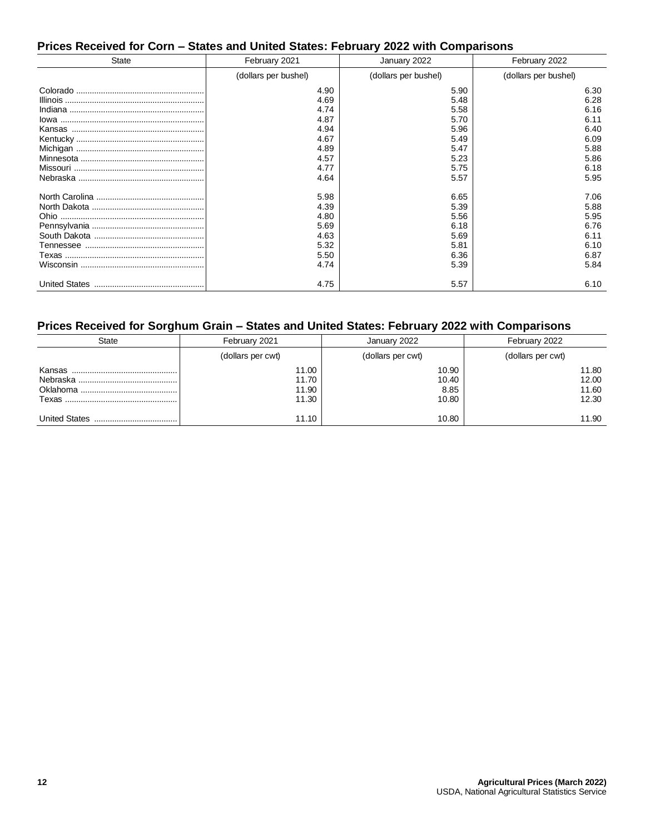# **Prices Received for Corn – States and United States: February 2022 with Comparisons**

| <b>State</b> | February 2021        | January 2022         | February 2022        |
|--------------|----------------------|----------------------|----------------------|
|              | (dollars per bushel) | (dollars per bushel) | (dollars per bushel) |
|              | 4.90                 | 5.90                 | 6.30                 |
|              | 4.69                 | 5.48                 | 6.28                 |
|              | 4.74                 | 5.58                 | 6.16                 |
|              | 4.87                 | 5.70                 | 6.11                 |
|              | 4.94                 | 5.96                 | 6.40                 |
|              | 4.67                 | 5.49                 | 6.09                 |
|              | 4.89                 | 5.47                 | 5.88                 |
|              | 4.57                 | 5.23                 | 5.86                 |
|              | 4.77                 | 5.75                 | 6.18                 |
|              | 4.64                 | 5.57                 | 5.95                 |
|              | 5.98                 | 6.65                 | 7.06                 |
|              | 4.39                 | 5.39                 | 5.88                 |
|              | 4.80                 | 5.56                 | 5.95                 |
|              | 5.69                 | 6.18                 | 6.76                 |
|              | 4.63                 | 5.69                 | 6.11                 |
|              | 5.32                 | 5.81                 | 6.10                 |
|              | 5.50                 | 6.36                 | 6.87                 |
|              | 4.74                 | 5.39                 | 5.84                 |
|              | 4.75                 | 5.57                 | 6.10                 |

# **Prices Received for Sorghum Grain – States and United States: February 2022 with Comparisons**

| <b>State</b> | February 2021     | January 2022      | February 2022     |
|--------------|-------------------|-------------------|-------------------|
|              | (dollars per cwt) | (dollars per cwt) | (dollars per cwt) |
| Kansas       | 11.00             | 10.90             | 11.80             |
|              | 11.70             | 10.40             | 12.00             |
|              | 11.90             | 8.85              | 11.60             |
|              | 11.30             | 10.80             | 12.30             |
|              | 11.10             | 10.80             | 11.90             |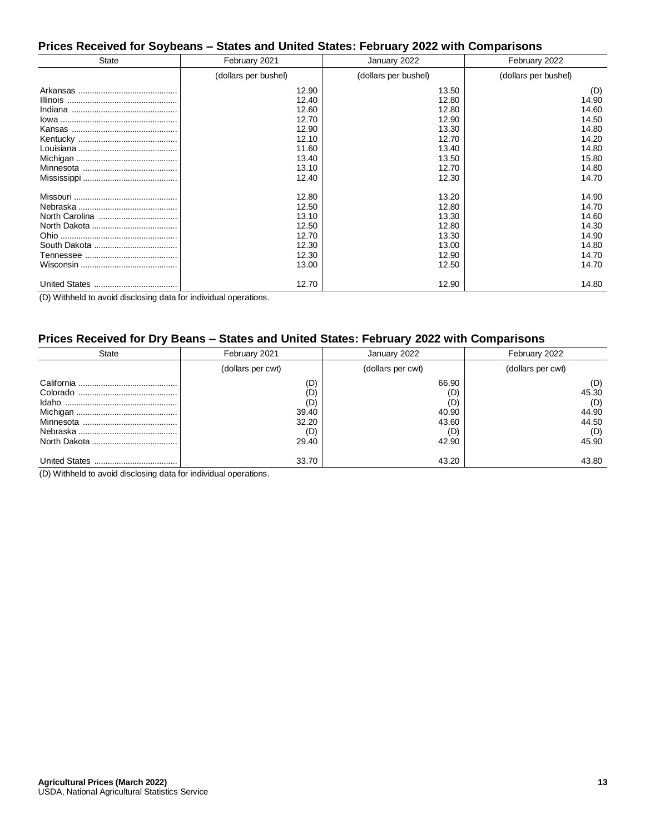#### **Prices Received for Soybeans – States and United States: February 2022 with Comparisons**

| State | February 2021        | January 2022         | February 2022        |
|-------|----------------------|----------------------|----------------------|
|       | (dollars per bushel) | (dollars per bushel) | (dollars per bushel) |
|       | 12.90                | 13.50                | (D)                  |
|       | 12.40                | 12.80                | 14.90                |
|       | 12.60                | 12.80                | 14.60                |
|       | 12.70                | 12.90                | 14.50                |
|       | 12.90                | 13.30                | 14.80                |
|       | 12.10                | 12.70                | 14.20                |
|       | 11.60                | 13.40                | 14.80                |
|       | 13.40                | 13.50                | 15.80                |
|       | 13.10                | 12.70                | 14.80                |
|       | 12.40                | 12.30                | 14.70                |
|       | 12.80                | 13.20                | 14.90                |
|       | 12.50                | 12.80                | 14.70                |
|       | 13.10                | 13.30                | 14.60                |
|       | 12.50                | 12.80                | 14.30                |
|       | 12.70                | 13.30                | 14.90                |
|       | 12.30                | 13.00                | 14.80                |
|       | 12.30                | 12.90                | 14.70                |
|       | 13.00                | 12.50                | 14.70                |
|       | 12.70                | 12.90                | 14.80                |

(D) Withheld to avoid disclosing data for individual operations.

# **Prices Received for Dry Beans – States and United States: February 2022 with Comparisons**

| <b>State</b>         | February 2021                                       | January 2022                                          | February 2022                                         |
|----------------------|-----------------------------------------------------|-------------------------------------------------------|-------------------------------------------------------|
|                      | (dollars per cwt)                                   | (dollars per cwt)                                     | (dollars per cwt)                                     |
|                      | (D)<br>(D)<br>(D)<br>39.40<br>32.20<br>(D)<br>29.40 | 66.90<br>(D)<br>(D)<br>40.90<br>43.60<br>(D)<br>42.90 | (D)<br>45.30<br>(D)<br>44.90<br>44.50<br>(D)<br>45.90 |
| <b>United States</b> | 33.70                                               | 43.20                                                 | 43.80                                                 |

(D) Withheld to avoid disclosing data for individual operations.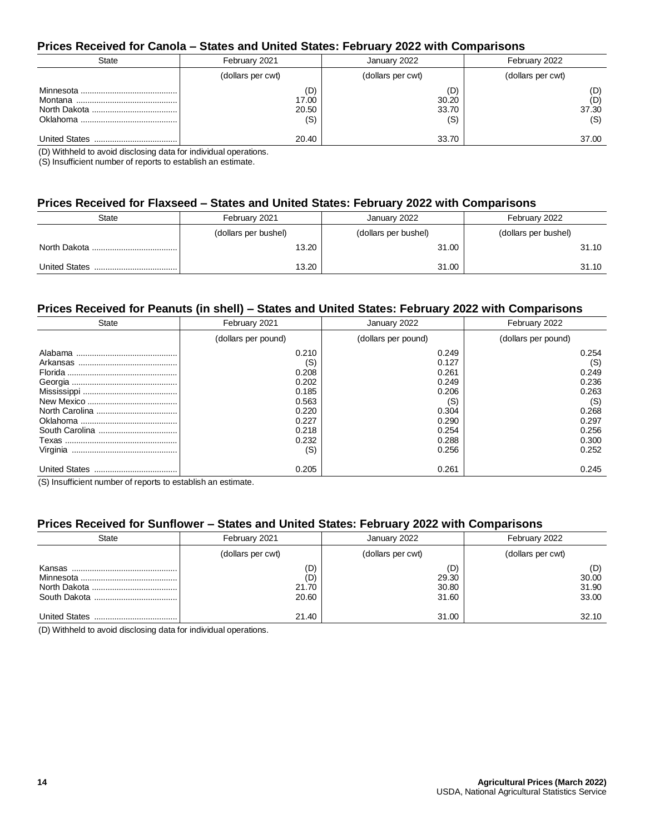#### **Prices Received for Canola – States and United States: February 2022 with Comparisons**

| <b>State</b> | February 2021                | January 2022                 | February 2022              |
|--------------|------------------------------|------------------------------|----------------------------|
|              | (dollars per cwt)            | (dollars per cwt)            | (dollars per cwt)          |
|              | (D)<br>17.00<br>20.50<br>(S) | (D)<br>30.20<br>33.70<br>(S) | (D)<br>(D)<br>37.30<br>(S) |
|              | 20.40                        | 33.70                        | 37.00                      |

(D) Withheld to avoid disclosing data for individual operations.

(S) Insufficient number of reports to establish an estimate.

#### **Prices Received for Flaxseed – States and United States: February 2022 with Comparisons**

| State                    | February 2021        | January 2022         | February 2022        |
|--------------------------|----------------------|----------------------|----------------------|
|                          | (dollars per bushel) | (dollars per bushel) | (dollars per bushel) |
|                          | 13.20                | 31.00                | 31.10                |
| <b>United States</b><br> | 13.20                | 31.00                | 31.10                |

#### **Prices Received for Peanuts (in shell) – States and United States: February 2022 with Comparisons**

| <b>State</b>         | February 2021       | January 2022        | February 2022       |  |
|----------------------|---------------------|---------------------|---------------------|--|
|                      | (dollars per pound) | (dollars per pound) | (dollars per pound) |  |
| Alabama              | 0.210               | 0.249               | 0.254               |  |
|                      | (S)                 | 0.127               | (S)                 |  |
|                      | 0.208               | 0.261               | 0.249               |  |
|                      | 0.202               | 0.249               | 0.236               |  |
|                      | 0.185               | 0.206               | 0.263               |  |
|                      | 0.563               | (S)                 | (S)                 |  |
|                      | 0.220               | 0.304               | 0.268               |  |
|                      | 0.227               | 0.290               | 0.297               |  |
|                      | 0.218               | 0.254               | 0.256               |  |
|                      | 0.232               | 0.288               | 0.300               |  |
| Virginia             | (S)                 | 0.256               | 0.252               |  |
| <b>United States</b> | 0.205               | 0.261               | 0.245               |  |

(S) Insufficient number of reports to establish an estimate.

#### **Prices Received for Sunflower – States and United States: February 2022 with Comparisons**

| <b>State</b> | February 2021                | January 2022                   | February 2022                  |
|--------------|------------------------------|--------------------------------|--------------------------------|
|              | (dollars per cwt)            | (dollars per cwt)              | (dollars per cwt)              |
|              | (D)<br>(D)<br>21.70<br>20.60 | (D)<br>29.30<br>30.80<br>31.60 | (D)<br>30.00<br>31.90<br>33.00 |
|              | 21.40                        | 31.00                          | 32.10                          |

(D) Withheld to avoid disclosing data for individual operations.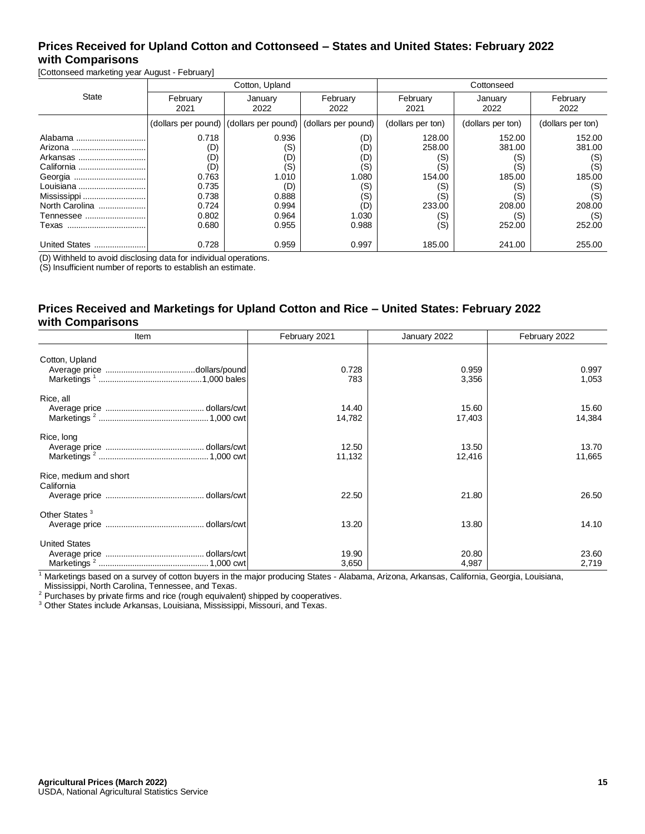# **Prices Received for Upland Cotton and Cottonseed – States and United States: February 2022 with Comparisons**

[Cottonseed marketing year August - February]

|                |                  | Cotton, Upland                                              |                  | Cottonseed        |                   |                   |  |
|----------------|------------------|-------------------------------------------------------------|------------------|-------------------|-------------------|-------------------|--|
| <b>State</b>   | February<br>2021 | January<br>2022                                             | February<br>2022 | February<br>2021  | January<br>2022   | February<br>2022  |  |
|                |                  | (dollars per pound) (dollars per pound) (dollars per pound) |                  | (dollars per ton) | (dollars per ton) | (dollars per ton) |  |
| Alabama        | 0.718            | 0.936                                                       | (D)              | 128.00            | 152.00            | 152.00            |  |
|                | (D)              | (S)                                                         | (D)              | 258.00            | 381.00            | 381.00            |  |
| Arkansas       | (D)              | (D)                                                         | (D)              | (S)               | (S)               | (S)               |  |
| California     | (D)              | (S)                                                         | (S)              | (S)               | (S)               | (S)               |  |
|                | 0.763            | 1.010                                                       | 1.080            | 154.00            | 185.00            | 185.00            |  |
| Louisiana      | 0.735            | (D)                                                         | (S)              | (S)               | (S)               | (S)               |  |
|                | 0.738            | 0.888                                                       | (S)              | (S)               | (S)               | (S)               |  |
| North Carolina | 0.724            | 0.994                                                       | (D)              | 233.00            | 208.00            | 208.00            |  |
| Tennessee      | 0.802            | 0.964                                                       | 1.030            | (S)               | (S)               | (S)               |  |
| Техаs          | 0.680            | 0.955                                                       | 0.988            | (S)               | 252.00            | 252.00            |  |
| United States  | 0.728            | 0.959                                                       | 0.997            | 185.00            | 241.00            | 255.00            |  |

(D) Withheld to avoid disclosing data for individual operations.

(S) Insufficient number of reports to establish an estimate.

#### **Prices Received and Marketings for Upland Cotton and Rice – United States: February 2022 with Comparisons**

| Item                                 | February 2021   | January 2022    | February 2022   |
|--------------------------------------|-----------------|-----------------|-----------------|
| Cotton, Upland                       |                 |                 |                 |
|                                      | 0.728<br>783    | 0.959<br>3,356  | 0.997<br>1,053  |
| Rice, all                            |                 |                 |                 |
|                                      | 14.40<br>14,782 | 15.60<br>17,403 | 15.60<br>14,384 |
| Rice, long                           | 12.50<br>11,132 | 13.50<br>12,416 | 13.70<br>11,665 |
| Rice, medium and short<br>California |                 |                 |                 |
|                                      | 22.50           | 21.80           | 26.50           |
| Other States <sup>3</sup>            |                 |                 |                 |
|                                      | 13.20           | 13.80           | 14.10           |
| <b>United States</b>                 |                 |                 |                 |
|                                      | 19.90           | 20.80           | 23.60           |
|                                      | 3,650           | 4,987           | 2,719           |

<sup>1</sup> Marketings based on a survey of cotton buyers in the major producing States - Alabama, Arizona, Arkansas, California, Georgia, Louisiana, Mississippi, North Carolina, Tennessee, and Texas.

<sup>2</sup> Purchases by private firms and rice (rough equivalent) shipped by cooperatives.

<sup>3</sup> Other States include Arkansas, Louisiana, Mississippi, Missouri, and Texas.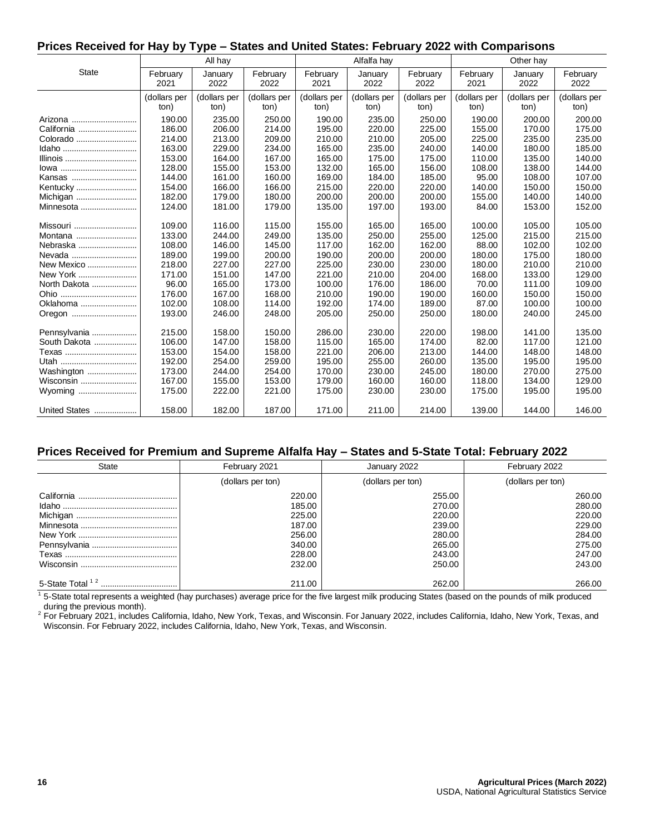#### **Prices Received for Hay by Type – States and United States: February 2022 with Comparisons**

|               |                  | All hay         |                  |                  | Alfalfa hay     |                  |                  | Other hay       |                  |
|---------------|------------------|-----------------|------------------|------------------|-----------------|------------------|------------------|-----------------|------------------|
| <b>State</b>  | February<br>2021 | January<br>2022 | February<br>2022 | February<br>2021 | January<br>2022 | February<br>2022 | February<br>2021 | January<br>2022 | February<br>2022 |
|               | (dollars per     | (dollars per    | (dollars per     | (dollars per     | (dollars per    | (dollars per     | (dollars per     | (dollars per    | (dollars per     |
|               | ton)             | ton)            | ton)             | ton)             | ton)            | ton)             | ton)             | ton)            | ton)             |
| Arizona       | 190.00           | 235.00          | 250.00           | 190.00           | 235.00          | 250.00           | 190.00           | 200.00          | 200.00           |
| California    | 186.00           | 206.00          | 214.00           | 195.00           | 220.00          | 225.00           | 155.00           | 170.00          | 175.00           |
| Colorado      | 214.00           | 213.00          | 209.00           | 210.00           | 210.00          | 205.00           | 225.00           | 235.00          | 235.00           |
| Idaho         | 163.00           | 229.00          | 234.00           | 165.00           | 235.00          | 240.00           | 140.00           | 180.00          | 185.00           |
| Illinois      | 153.00           | 164.00          | 167.00           | 165.00           | 175.00          | 175.00           | 110.00           | 135.00          | 140.00           |
| lowa          | 128.00           | 155.00          | 153.00           | 132.00           | 165.00          | 156.00           | 108.00           | 138.00          | 144.00           |
| Kansas        | 144.00           | 161.00          | 160.00           | 169.00           | 184.00          | 185.00           | 95.00            | 108.00          | 107.00           |
| Kentucky      | 154.00           | 166.00          | 166.00           | 215.00           | 220.00          | 220.00           | 140.00           | 150.00          | 150.00           |
| Michigan      | 182.00           | 179.00          | 180.00           | 200.00           | 200.00          | 200.00           | 155.00           | 140.00          | 140.00           |
| Minnesota     | 124.00           | 181.00          | 179.00           | 135.00           | 197.00          | 193.00           | 84.00            | 153.00          | 152.00           |
| Missouri      | 109.00           | 116.00          | 115.00           | 155.00           | 165.00          | 165.00           | 100.00           | 105.00          | 105.00           |
| Montana       | 133.00           | 244.00          | 249.00           | 135.00           | 250.00          | 255.00           | 125.00           | 215.00          | 215.00           |
| Nebraska      | 108.00           | 146.00          | 145.00           | 117.00           | 162.00          | 162.00           | 88.00            | 102.00          | 102.00           |
| Nevada        | 189.00           | 199.00          | 200.00           | 190.00           | 200.00          | 200.00           | 180.00           | 175.00          | 180.00           |
| New Mexico    | 218.00           | 227.00          | 227.00           | 225.00           | 230.00          | 230.00           | 180.00           | 210.00          | 210.00           |
| New York      | 171.00           | 151.00          | 147.00           | 221.00           | 210.00          | 204.00           | 168.00           | 133.00          | 129.00           |
| North Dakota  | 96.00            | 165.00          | 173.00           | 100.00           | 176.00          | 186.00           | 70.00            | 111.00          | 109.00           |
|               | 176.00           | 167.00          | 168.00           | 210.00           | 190.00          | 190.00           | 160.00           | 150.00          | 150.00           |
| Oklahoma      | 102.00           | 108.00          | 114.00           | 192.00           | 174.00          | 189.00           | 87.00            | 100.00          | 100.00           |
|               | 193.00           | 246.00          | 248.00           | 205.00           | 250.00          | 250.00           | 180.00           | 240.00          | 245.00           |
|               |                  |                 |                  |                  |                 |                  |                  |                 |                  |
| Pennsylvania  | 215.00           | 158.00          | 150.00           | 286.00           | 230.00          | 220.00           | 198.00           | 141.00          | 135.00           |
| South Dakota  | 106.00           | 147.00          | 158.00           | 115.00           | 165.00          | 174.00           | 82.00            | 117.00          | 121.00           |
| Texas         | 153.00           | 154.00          | 158.00           | 221.00           | 206.00          | 213.00           | 144.00           | 148.00          | 148.00           |
| Utah<br>      | 192.00           | 254.00          | 259.00           | 195.00           | 255.00          | 260.00           | 135.00           | 195.00          | 195.00           |
| Washington    | 173.00           | 244.00          | 254.00           | 170.00           | 230.00          | 245.00           | 180.00           | 270.00          | 275.00           |
| Wisconsin     | 167.00           | 155.00          | 153.00           | 179.00           | 160.00          | 160.00           | 118.00           | 134.00          | 129.00           |
| Wyoming       | 175.00           | 222.00          | 221.00           | 175.00           | 230.00          | 230.00           | 175.00           | 195.00          | 195.00           |
| United States | 158.00           | 182.00          | 187.00           | 171.00           | 211.00          | 214.00           | 139.00           | 144.00          | 146.00           |

#### **Prices Received for Premium and Supreme Alfalfa Hay – States and 5-State Total: February 2022**

| <b>State</b>                    | February 2021     | January 2022      | February 2022     |
|---------------------------------|-------------------|-------------------|-------------------|
|                                 | (dollars per ton) | (dollars per ton) | (dollars per ton) |
|                                 | 220.00            | 255.00            | 260.00            |
|                                 | 185.00            | 270.00            | 280.00            |
|                                 | 225.00            | 220.00            | 220.00            |
|                                 | 187.00            | 239.00            | 229.00            |
|                                 | 256.00            | 280.00            | 284.00            |
|                                 | 340.00            | 265.00            | 275.00            |
|                                 | 228.00            | 243.00            | 247.00            |
|                                 | 232.00            | 250.00            | 243.00            |
| 5-State Total <sup>12</sup><br> | 211.00            | 262.00            | 266.00            |

<sup>1</sup> 5-State total represents a weighted (hay purchases) average price for the five largest milk producing States (based on the pounds of milk produced during the previous month).

<sup>2</sup> For February 2021, includes California, Idaho, New York, Texas, and Wisconsin. For January 2022, includes California, Idaho, New York, Texas, and Wisconsin. For February 2022, includes California, Idaho, New York, Texas, and Wisconsin.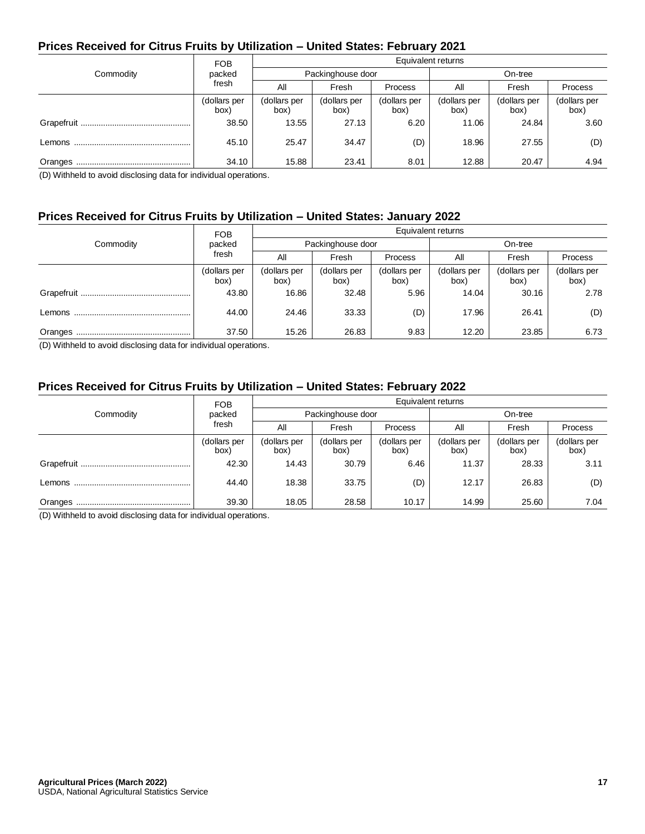# **Prices Received for Citrus Fruits by Utilization – United States: February 2021**

|           | <b>FOB</b>           | Equivalent returns   |                      |                      |                      |                      |                      |  |  |
|-----------|----------------------|----------------------|----------------------|----------------------|----------------------|----------------------|----------------------|--|--|
| Commodity | packed               | Packinghouse door    |                      |                      | On-tree              |                      |                      |  |  |
|           | fresh                | All                  | Fresh                | <b>Process</b>       | All                  | Fresh                | Process              |  |  |
|           | (dollars per<br>box) | (dollars per<br>box) | (dollars per<br>box) | (dollars per<br>box) | (dollars per<br>box) | (dollars per<br>box) | (dollars per<br>box) |  |  |
|           | 38.50                | 13.55                | 27.13                | 6.20                 | 11.06                | 24.84                | 3.60                 |  |  |
|           | 45.10                | 25.47                | 34.47                | (D)                  | 18.96                | 27.55                | (D)                  |  |  |
| Oranges   | 34.10                | 15.88                | 23.41                | 8.01                 | 12.88                | 20.47                | 4.94                 |  |  |

(D) Withheld to avoid disclosing data for individual operations.

# **Prices Received for Citrus Fruits by Utilization – United States: January 2022**

|           | <b>FOB</b>           | Equivalent returns   |                      |                      |                      |                      |                      |  |
|-----------|----------------------|----------------------|----------------------|----------------------|----------------------|----------------------|----------------------|--|
| Commodity | packed               |                      | Packinghouse door    |                      | On-tree              |                      |                      |  |
|           | fresh                | All                  | Fresh                | <b>Process</b>       | All                  | Fresh                | Process              |  |
|           | (dollars per<br>box) | (dollars per<br>box) | (dollars per<br>box) | (dollars per<br>box) | (dollars per<br>box) | (dollars per<br>box) | (dollars per<br>box) |  |
|           | 43.80                | 16.86                | 32.48                | 5.96                 | 14.04                | 30.16                | 2.78                 |  |
|           | 44.00                | 24.46                | 33.33                | (D)                  | 17.96                | 26.41                | (D)                  |  |
|           | 37.50                | 15.26                | 26.83                | 9.83                 | 12.20                | 23.85                | 6.73                 |  |

(D) Withheld to avoid disclosing data for individual operations.

## **Prices Received for Citrus Fruits by Utilization – United States: February 2022**

|           | <b>FOB</b>           | Equivalent returns   |                      |                      |                      |                      |                      |  |
|-----------|----------------------|----------------------|----------------------|----------------------|----------------------|----------------------|----------------------|--|
| Commodity | packed               |                      | Packinghouse door    |                      |                      | On-tree              |                      |  |
|           | fresh                | All                  | Fresh                | <b>Process</b>       | All                  | Fresh                | Process              |  |
|           | (dollars per<br>box) | (dollars per<br>box) | (dollars per<br>box) | (dollars per<br>box) | (dollars per<br>box) | (dollars per<br>box) | (dollars per<br>box) |  |
|           | 42.30                | 14.43                | 30.79                | 6.46                 | 11.37                | 28.33                | 3.11                 |  |
|           | 44.40                | 18.38                | 33.75                | (D)                  | 12.17                | 26.83                | (D)                  |  |
|           | 39.30                | 18.05                | 28.58                | 10.17                | 14.99                | 25.60                | 7.04                 |  |

(D) Withheld to avoid disclosing data for individual operations.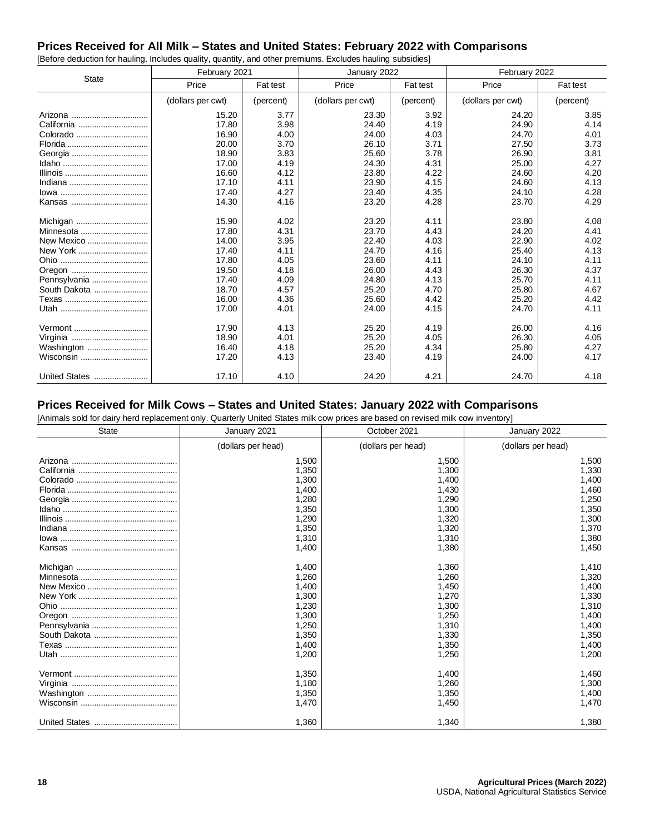## **Prices Received for All Milk – States and United States: February 2022 with Comparisons**

|               | February 2021     |           | January 2022      |           | February 2022     |           |
|---------------|-------------------|-----------|-------------------|-----------|-------------------|-----------|
| <b>State</b>  | Price             | Fat test  | Price             | Fat test  | Price             | Fat test  |
|               | (dollars per cwt) | (percent) | (dollars per cwt) | (percent) | (dollars per cwt) | (percent) |
| Arizona       | 15.20             | 3.77      | 23.30             | 3.92      | 24.20             | 3.85      |
| California    | 17.80             | 3.98      | 24.40             | 4.19      | 24.90             | 4.14      |
| Colorado      | 16.90             | 4.00      | 24.00             | 4.03      | 24.70             | 4.01      |
|               | 20.00             | 3.70      | 26.10             | 3.71      | 27.50             | 3.73      |
|               | 18.90             | 3.83      | 25.60             | 3.78      | 26.90             | 3.81      |
|               | 17.00             | 4.19      | 24.30             | 4.31      | 25.00             | 4.27      |
|               | 16.60             | 4.12      | 23.80             | 4.22      | 24.60             | 4.20      |
|               | 17.10             | 4.11      | 23.90             | 4.15      | 24.60             | 4.13      |
|               | 17.40             | 4.27      | 23.40             | 4.35      | 24.10             | 4.28      |
|               | 14.30             | 4.16      | 23.20             | 4.28      | 23.70             | 4.29      |
| Michigan      | 15.90             | 4.02      | 23.20             | 4.11      | 23.80             | 4.08      |
| Minnesota     | 17.80             | 4.31      | 23.70             | 4.43      | 24.20             | 4.41      |
| New Mexico    | 14.00             | 3.95      | 22.40             | 4.03      | 22.90             | 4.02      |
| New York      | 17.40             | 4.11      | 24.70             | 4.16      | 25.40             | 4.13      |
|               | 17.80             | 4.05      | 23.60             | 4.11      | 24.10             | 4.11      |
|               | 19.50             | 4.18      | 26.00             | 4.43      | 26.30             | 4.37      |
| Pennsylvania  | 17.40             | 4.09      | 24.80             | 4.13      | 25.70             | 4.11      |
| South Dakota  | 18.70             | 4.57      | 25.20             | 4.70      | 25.80             | 4.67      |
|               | 16.00             | 4.36      | 25.60             | 4.42      | 25.20             | 4.42      |
|               | 17.00             | 4.01      | 24.00             | 4.15      | 24.70             | 4.11      |
| Vermont       | 17.90             | 4.13      | 25.20             | 4.19      | 26.00             | 4.16      |
|               | 18.90             | 4.01      | 25.20             | 4.05      | 26.30             | 4.05      |
| Washington    | 16.40             | 4.18      | 25.20             | 4.34      | 25.80             | 4.27      |
| Wisconsin     | 17.20             | 4.13      | 23.40             | 4.19      | 24.00             | 4.17      |
| United States | 17.10             | 4.10      | 24.20             | 4.21      | 24.70             | 4.18      |

[Before deduction for hauling. Includes quality, quantity, and other premiums. Excludes hauling subsidies]

#### **Prices Received for Milk Cows – States and United States: January 2022 with Comparisons**

[Animals sold for dairy herd replacement only. Quarterly United States milk cow prices are based on revised milk cow inventory]

| <b>State</b> | January 2021       | October 2021       | January 2022       |
|--------------|--------------------|--------------------|--------------------|
|              | (dollars per head) | (dollars per head) | (dollars per head) |
|              | 1,500              | 1,500              | 1,500              |
|              | 1,350              | 1,300              | 1,330              |
|              | 1,300              | 1,400              | 1,400              |
|              | 1,400              | 1,430              | 1,460              |
|              | 1,280              | 1,290              | 1,250              |
|              | 1,350              | 1,300              | 1,350              |
|              | 1,290              | 1,320              | 1,300              |
|              | 1,350              | 1,320              | 1,370              |
|              | 1,310              | 1,310              | 1,380              |
|              | 1,400              | 1,380              | 1,450              |
|              | 1,400              | 1,360              | 1,410              |
|              | 1,260              | 1,260              | 1,320              |
|              | 1,400              | 1,450              | 1,400              |
|              | 1,300              | 1,270              | 1,330              |
|              | 1,230              | 1,300              | 1,310              |
|              | 1,300              | 1,250              | 1,400              |
|              | 1,250              | 1,310              | 1,400              |
|              | 1,350              | 1,330              | 1,350              |
|              | 1,400              | 1,350              | 1,400              |
|              | 1,200              | 1,250              | 1,200              |
|              | 1,350              | 1,400              | 1,460              |
|              | 1,180              | 1,260              | 1,300              |
|              | 1,350              | 1,350              | 1,400              |
|              | 1,470              | 1,450              | 1,470              |
|              | 1,360              | 1,340              | 1,380              |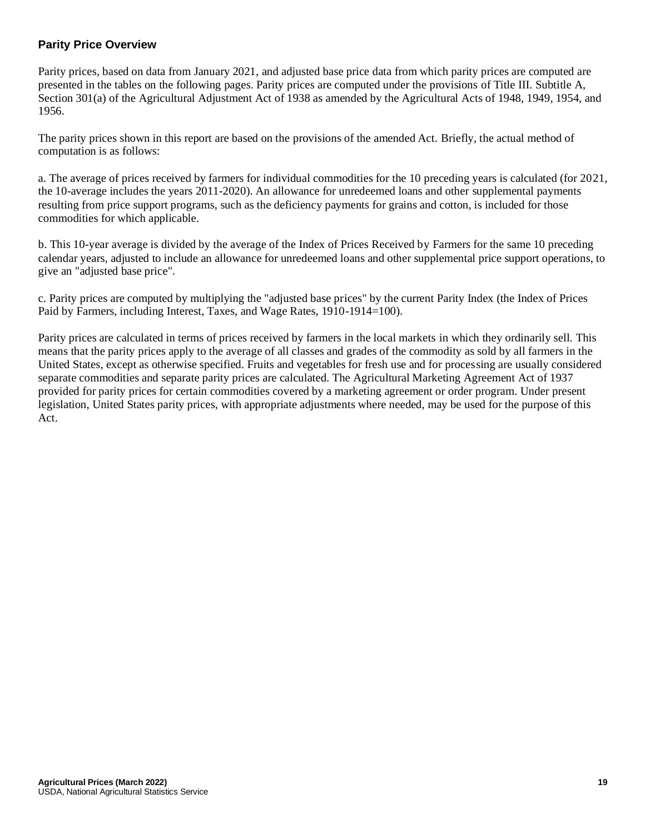## **Parity Price Overview**

Parity prices, based on data from January 2021, and adjusted base price data from which parity prices are computed are presented in the tables on the following pages. Parity prices are computed under the provisions of Title III. Subtitle A, Section 301(a) of the Agricultural Adjustment Act of 1938 as amended by the Agricultural Acts of 1948, 1949, 1954, and 1956.

The parity prices shown in this report are based on the provisions of the amended Act. Briefly, the actual method of computation is as follows:

a. The average of prices received by farmers for individual commodities for the 10 preceding years is calculated (for 2021, the 10-average includes the years 2011-2020). An allowance for unredeemed loans and other supplemental payments resulting from price support programs, such as the deficiency payments for grains and cotton, is included for those commodities for which applicable.

b. This 10-year average is divided by the average of the Index of Prices Received by Farmers for the same 10 preceding calendar years, adjusted to include an allowance for unredeemed loans and other supplemental price support operations, to give an "adjusted base price".

c. Parity prices are computed by multiplying the "adjusted base prices" by the current Parity Index (the Index of Prices Paid by Farmers, including Interest, Taxes, and Wage Rates, 1910-1914=100).

Parity prices are calculated in terms of prices received by farmers in the local markets in which they ordinarily sell. This means that the parity prices apply to the average of all classes and grades of the commodity as sold by all farmers in the United States, except as otherwise specified. Fruits and vegetables for fresh use and for processing are usually considered separate commodities and separate parity prices are calculated. The Agricultural Marketing Agreement Act of 1937 provided for parity prices for certain commodities covered by a marketing agreement or order program. Under present legislation, United States parity prices, with appropriate adjustments where needed, may be used for the purpose of this Act.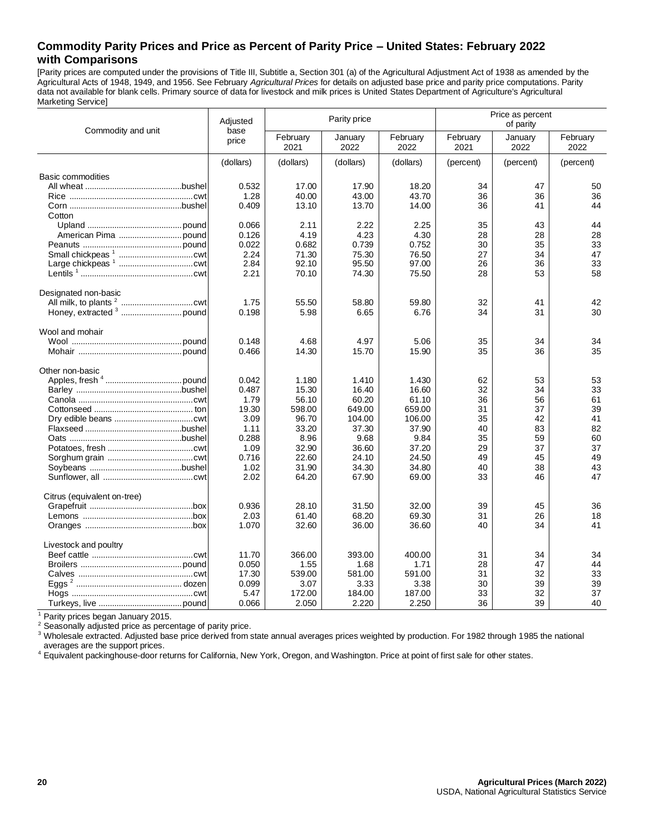## **Commodity Parity Prices and Price as Percent of Parity Price – United States: February 2022 with Comparisons**

[Parity prices are computed under the provisions of Title III, Subtitle a, Section 301 (a) of the Agricultural Adjustment Act of 1938 as amended by the Agricultural Acts of 1948, 1949, and 1956. See February *Agricultural Prices* for details on adjusted base price and parity price computations. Parity data not available for blank cells. Primary source of data for livestock and milk prices is United States Department of Agriculture's Agricultural Marketing Service]

|                             | Adjusted      |                  | Parity price    |                  | Price as percent<br>of parity |                 |                  |
|-----------------------------|---------------|------------------|-----------------|------------------|-------------------------------|-----------------|------------------|
| Commodity and unit          | base<br>price | February<br>2021 | January<br>2022 | February<br>2022 | February<br>2021              | January<br>2022 | February<br>2022 |
|                             | (dollars)     | (dollars)        | (dollars)       | (dollars)        | (percent)                     | (percent)       | (percent)        |
| <b>Basic commodities</b>    |               |                  |                 |                  |                               |                 |                  |
|                             | 0.532         | 17.00            | 17.90           | 18.20            | 34                            | 47              | 50               |
|                             | 1.28          | 40.00            | 43.00           | 43.70            | 36                            | 36              | 36               |
|                             | 0.409         | 13.10            | 13.70           | 14.00            | 36                            | 41              | 44               |
| Cotton                      |               |                  |                 |                  |                               |                 |                  |
|                             | 0.066         | 2.11             | 2.22            | 2.25             | 35                            | 43              | 44               |
|                             | 0.126         | 4.19             | 4.23            | 4.30             | 28                            | 28              | 28               |
|                             | 0.022         | 0.682            | 0.739           | 0.752            | 30                            | 35              | 33               |
|                             | 2.24          | 71.30            | 75.30           | 76.50            | 27                            | 34              | 47               |
|                             | 2.84          | 92.10            | 95.50           | 97.00            | 26                            | 36              | 33               |
|                             | 2.21          | 70.10            | 74.30           | 75.50            | 28                            | 53              | 58               |
| Designated non-basic        |               |                  |                 |                  |                               |                 |                  |
|                             | 1.75          | 55.50            | 58.80           | 59.80            | 32                            | 41              | 42               |
|                             | 0.198         | 5.98             | 6.65            | 6.76             | 34                            | 31              | 30               |
| Wool and mohair             |               |                  |                 |                  |                               |                 |                  |
|                             | 0.148         | 4.68             | 4.97            | 5.06             | 35                            | 34              | 34               |
|                             | 0.466         | 14.30            | 15.70           | 15.90            | 35                            | 36              | 35               |
| Other non-basic             |               |                  |                 |                  |                               |                 |                  |
|                             | 0.042         | 1.180            | 1.410           | 1.430            | 62                            | 53              | 53               |
|                             | 0.487         | 15.30            | 16.40           | 16.60            | 32                            | 34              | 33               |
|                             | 1.79          | 56.10            | 60.20           | 61.10            | 36                            | 56              | 61               |
|                             | 19.30         | 598.00           | 649.00          | 659.00           | 31                            | 37              | 39               |
|                             | 3.09          | 96.70            | 104.00          | 106.00           | 35                            | 42              | 41               |
|                             | 1.11          | 33.20            | 37.30           | 37.90            | 40                            | 83              | 82               |
|                             | 0.288         | 8.96             | 9.68            | 9.84             | 35                            | 59              | 60               |
|                             | 1.09          | 32.90            | 36.60           | 37.20            | 29                            | 37              | 37               |
|                             | 0.716         | 22.60            | 24.10           | 24.50            | 49                            | 45              | 49               |
|                             | 1.02          | 31.90            | 34.30           | 34.80            | 40                            | 38              | 43               |
|                             | 2.02          | 64.20            | 67.90           | 69.00            | 33                            | 46              | 47               |
| Citrus (equivalent on-tree) |               |                  |                 |                  |                               |                 |                  |
|                             | 0.936         | 28.10            | 31.50           | 32.00            | 39                            | 45              | 36               |
|                             | 2.03          | 61.40            | 68.20           | 69.30            | 31                            | 26              | 18               |
|                             | 1.070         | 32.60            | 36.00           | 36.60            | 40                            | 34              | 41               |
| Livestock and poultry       |               |                  |                 |                  |                               |                 |                  |
|                             | 11.70         | 366.00           | 393.00          | 400.00           | 31                            | 34              | 34               |
|                             | 0.050         | 1.55             | 1.68            | 1.71             | 28                            | 47              | 44               |
|                             | 17.30         | 539.00           | 581.00          | 591.00           | 31                            | 32              | 33               |
|                             | 0.099         | 3.07             | 3.33            | 3.38             | 30                            | 39              | 39               |
|                             | 5.47          | 172.00           | 184.00          | 187.00           | 33                            | 32              | 37               |
|                             | 0.066         | 2.050            | 2.220           | 2.250            | 36                            | 39              | 40               |

<sup>1</sup> Parity prices began January 2015.

<sup>2</sup> Seasonally adjusted price as percentage of parity price.

<sup>3</sup> Wholesale extracted. Adjusted base price derived from state annual averages prices weighted by production. For 1982 through 1985 the national averages are the support prices.

4 Equivalent packinghouse-door returns for California, New York, Oregon, and Washington. Price at point of first sale for other states.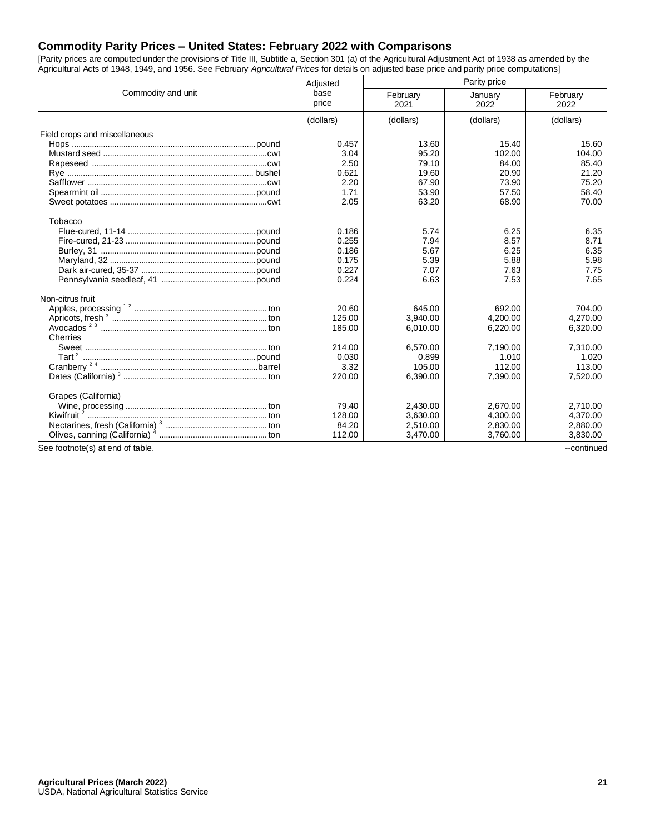## **Commodity Parity Prices – United States: February 2022 with Comparisons**

[Parity prices are computed under the provisions of Title III, Subtitle a, Section 301 (a) of the Agricultural Adjustment Act of 1938 as amended by the Agricultural Acts of 1948, 1949, and 1956. See February *Agricultural Prices* for details on adjusted base price and parity price computations]

|                                  | Adjusted      | Parity price     |                 |                  |  |
|----------------------------------|---------------|------------------|-----------------|------------------|--|
| Commodity and unit               | base<br>price | February<br>2021 | January<br>2022 | February<br>2022 |  |
|                                  | (dollars)     | (dollars)        | (dollars)       | (dollars)        |  |
| Field crops and miscellaneous    |               |                  |                 |                  |  |
|                                  | 0.457         | 13.60            | 15.40           | 15.60            |  |
|                                  | 3.04          | 95.20            | 102.00          | 104.00           |  |
|                                  | 2.50          | 79.10            | 84.00           | 85.40            |  |
|                                  | 0.621         | 19.60            | 20.90           | 21.20            |  |
|                                  | 2.20          | 67.90            | 73.90           | 75.20            |  |
|                                  | 1.71          | 53.90            | 57.50           | 58.40            |  |
|                                  | 2.05          | 63.20            | 68.90           | 70.00            |  |
| Tobacco                          |               |                  |                 |                  |  |
|                                  | 0.186         | 5.74             | 6.25            | 6.35             |  |
|                                  | 0.255         | 7.94             | 8.57            | 8.71             |  |
|                                  | 0.186         | 5.67             | 6.25            | 6.35             |  |
|                                  | 0.175         | 5.39             | 5.88            | 5.98             |  |
|                                  | 0.227         | 7.07             | 7.63            | 7.75             |  |
|                                  | 0.224         | 6.63             | 7.53            | 7.65             |  |
| Non-citrus fruit                 |               |                  |                 |                  |  |
|                                  | 20.60         | 645.00           | 692.00          | 704.00           |  |
|                                  | 125.00        | 3,940.00         | 4,200.00        | 4,270.00         |  |
|                                  | 185.00        | 6.010.00         | 6.220.00        | 6,320.00         |  |
| Cherries                         |               |                  |                 |                  |  |
|                                  | 214.00        | 6,570.00         | 7,190.00        | 7,310.00         |  |
|                                  | 0.030         | 0.899            | 1.010           | 1.020            |  |
|                                  | 3.32          | 105.00           | 112.00          | 113.00           |  |
|                                  | 220.00        | 6,390.00         | 7,390.00        | 7,520.00         |  |
| Grapes (California)              |               |                  |                 |                  |  |
|                                  | 79.40         | 2,430.00         | 2,670.00        | 2,710.00         |  |
|                                  | 128.00        | 3.630.00         | 4.300.00        | 4,370.00         |  |
|                                  | 84.20         | 2,510.00         | 2,830.00        | 2,880.00         |  |
|                                  | 112.00        | 3,470.00         | 3.760.00        | 3,830.00         |  |
| See footnote(s) at end of table. |               |                  |                 | --continued      |  |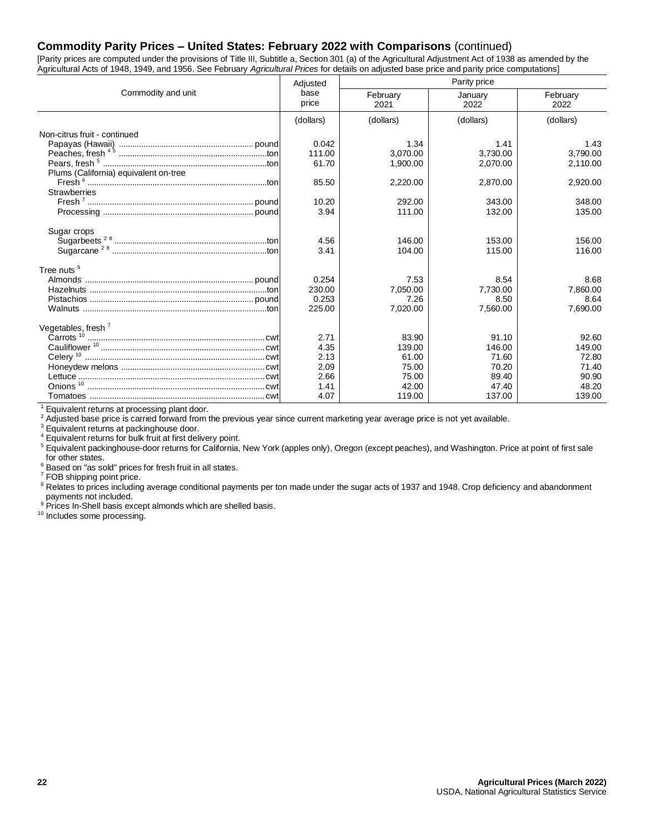## **Commodity Parity Prices – United States: February 2022 with Comparisons** (continued)

[Parity prices are computed under the provisions of Title III, Subtitle a, Section 301 (a) of the Agricultural Adjustment Act of 1938 as amended by the Agricultural Acts of 1948, 1949, and 1956. See February *Agricultural Prices* for details on adjusted base price and parity price computations]

|                                       | Adjusted      | Parity price     |                 |                  |  |
|---------------------------------------|---------------|------------------|-----------------|------------------|--|
| Commodity and unit                    | base<br>price | February<br>2021 | January<br>2022 | February<br>2022 |  |
|                                       | (dollars)     | (dollars)        | (dollars)       | (dollars)        |  |
| Non-citrus fruit - continued          |               |                  |                 |                  |  |
|                                       | 0.042         | 1.34             | 1.41            | 1.43             |  |
|                                       | 111.00        | 3.070.00         | 3.730.00        | 3.790.00         |  |
|                                       | 61.70         | 1,900.00         | 2,070.00        | 2,110.00         |  |
| Plums (California) equivalent on-tree |               |                  |                 |                  |  |
|                                       | 85.50         | 2,220.00         | 2,870.00        | 2,920.00         |  |
| <b>Strawberries</b>                   |               |                  |                 |                  |  |
|                                       | 10.20         | 292.00           | 343.00          | 348.00           |  |
|                                       | 3.94          | 111.00           | 132.00          | 135.00           |  |
|                                       |               |                  |                 |                  |  |
| Sugar crops                           |               |                  |                 |                  |  |
|                                       | 4.56          | 146.00           | 153.00          | 156.00           |  |
|                                       | 3.41          | 104.00           | 115.00          | 116.00           |  |
| Tree nuts <sup>9</sup>                |               |                  |                 |                  |  |
|                                       | 0.254         | 7.53             | 8.54            | 8.68             |  |
|                                       | 230.00        | 7,050.00         | 7,730.00        | 7,860.00         |  |
|                                       | 0.253         | 7.26             | 8.50            | 8.64             |  |
|                                       | 225.00        | 7,020.00         | 7,560.00        | 7,690.00         |  |
|                                       |               |                  |                 |                  |  |
| Vegetables, fresh <sup>7</sup>        |               |                  |                 |                  |  |
|                                       | 2.71          | 83.90            | 91.10           | 92.60            |  |
|                                       | 4.35          | 139.00<br>61.00  | 146.00          | 149.00<br>72.80  |  |
|                                       | 2.13<br>2.09  |                  | 71.60           |                  |  |
|                                       | 2.66          | 75.00<br>75.00   | 70.20<br>89.40  | 71.40<br>90.90   |  |
|                                       | 1.41          | 42.00            | 47.40           | 48.20            |  |
|                                       | 4.07          | 119.00           | 137.00          | 139.00           |  |
|                                       |               |                  |                 |                  |  |

<sup>1</sup> Equivalent returns at processing plant door.

<sup>2</sup> Adjusted base price is carried forward from the previous year since current marketing year average price is not yet available.

 $3$  Equivalent returns at packinghouse door.

Equivalent returns for bulk fruit at first delivery point.

<sup>5</sup> Equivalent packinghouse-door returns for California, New York (apples only), Oregon (except peaches), and Washington. Price at point of first sale for other states.

<sup>6</sup> Based on "as sold" prices for fresh fruit in all states.

<sup>7</sup> FOB shipping point price.

<sup>8</sup> Relates to prices including average conditional payments per ton made under the sugar acts of 1937 and 1948. Crop deficiency and abandonment payments not included.

<sup>9</sup> Prices In-Shell basis except almonds which are shelled basis.

10 Includes some processing.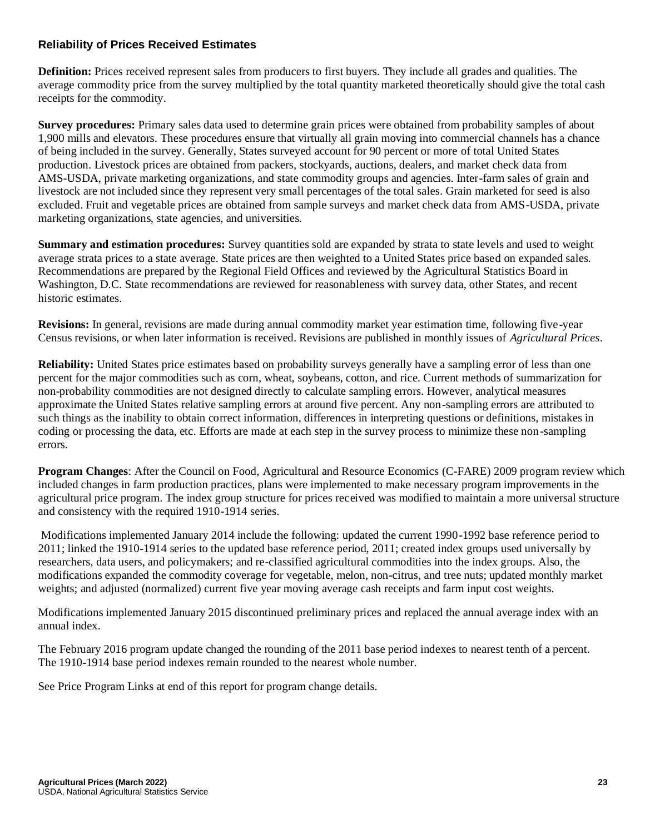## **Reliability of Prices Received Estimates**

**Definition:** Prices received represent sales from producers to first buyers. They include all grades and qualities. The average commodity price from the survey multiplied by the total quantity marketed theoretically should give the total cash receipts for the commodity.

**Survey procedures:** Primary sales data used to determine grain prices were obtained from probability samples of about 1,900 mills and elevators. These procedures ensure that virtually all grain moving into commercial channels has a chance of being included in the survey. Generally, States surveyed account for 90 percent or more of total United States production. Livestock prices are obtained from packers, stockyards, auctions, dealers, and market check data from AMS-USDA, private marketing organizations, and state commodity groups and agencies. Inter-farm sales of grain and livestock are not included since they represent very small percentages of the total sales. Grain marketed for seed is also excluded. Fruit and vegetable prices are obtained from sample surveys and market check data from AMS-USDA, private marketing organizations, state agencies, and universities.

**Summary and estimation procedures:** Survey quantities sold are expanded by strata to state levels and used to weight average strata prices to a state average. State prices are then weighted to a United States price based on expanded sales. Recommendations are prepared by the Regional Field Offices and reviewed by the Agricultural Statistics Board in Washington, D.C. State recommendations are reviewed for reasonableness with survey data, other States, and recent historic estimates.

**Revisions:** In general, revisions are made during annual commodity market year estimation time, following five-year Census revisions, or when later information is received. Revisions are published in monthly issues of *Agricultural Prices*.

**Reliability:** United States price estimates based on probability surveys generally have a sampling error of less than one percent for the major commodities such as corn, wheat, soybeans, cotton, and rice. Current methods of summarization for non-probability commodities are not designed directly to calculate sampling errors. However, analytical measures approximate the United States relative sampling errors at around five percent. Any non-sampling errors are attributed to such things as the inability to obtain correct information, differences in interpreting questions or definitions, mistakes in coding or processing the data, etc. Efforts are made at each step in the survey process to minimize these non-sampling errors.

**Program Changes**: After the Council on Food, Agricultural and Resource Economics (C-FARE) 2009 program review which included changes in farm production practices, plans were implemented to make necessary program improvements in the agricultural price program. The index group structure for prices received was modified to maintain a more universal structure and consistency with the required 1910-1914 series.

Modifications implemented January 2014 include the following: updated the current 1990-1992 base reference period to 2011; linked the 1910-1914 series to the updated base reference period, 2011; created index groups used universally by researchers, data users, and policymakers; and re-classified agricultural commodities into the index groups. Also, the modifications expanded the commodity coverage for vegetable, melon, non-citrus, and tree nuts; updated monthly market weights; and adjusted (normalized) current five year moving average cash receipts and farm input cost weights.

Modifications implemented January 2015 discontinued preliminary prices and replaced the annual average index with an annual index.

The February 2016 program update changed the rounding of the 2011 base period indexes to nearest tenth of a percent. The 1910-1914 base period indexes remain rounded to the nearest whole number.

See Price Program Links at end of this report for program change details.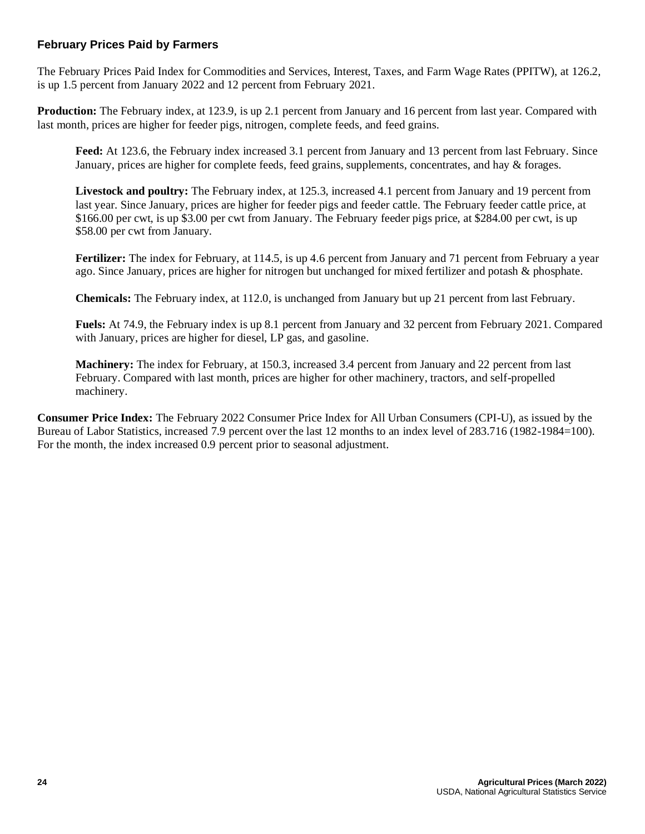## **February Prices Paid by Farmers**

The February Prices Paid Index for Commodities and Services, Interest, Taxes, and Farm Wage Rates (PPITW), at 126.2, is up 1.5 percent from January 2022 and 12 percent from February 2021.

**Production:** The February index, at 123.9, is up 2.1 percent from January and 16 percent from last year. Compared with last month, prices are higher for feeder pigs, nitrogen, complete feeds, and feed grains.

Feed: At 123.6, the February index increased 3.1 percent from January and 13 percent from last February. Since January, prices are higher for complete feeds, feed grains, supplements, concentrates, and hay & forages.

**Livestock and poultry:** The February index, at 125.3, increased 4.1 percent from January and 19 percent from last year. Since January, prices are higher for feeder pigs and feeder cattle. The February feeder cattle price, at \$166.00 per cwt, is up \$3.00 per cwt from January. The February feeder pigs price, at \$284.00 per cwt, is up \$58.00 per cwt from January.

**Fertilizer:** The index for February, at 114.5, is up 4.6 percent from January and 71 percent from February a year ago. Since January, prices are higher for nitrogen but unchanged for mixed fertilizer and potash & phosphate.

**Chemicals:** The February index, at 112.0, is unchanged from January but up 21 percent from last February.

**Fuels:** At 74.9, the February index is up 8.1 percent from January and 32 percent from February 2021. Compared with January, prices are higher for diesel, LP gas, and gasoline.

**Machinery:** The index for February, at 150.3, increased 3.4 percent from January and 22 percent from last February. Compared with last month, prices are higher for other machinery, tractors, and self-propelled machinery.

**Consumer Price Index:** The February 2022 Consumer Price Index for All Urban Consumers (CPI-U), as issued by the Bureau of Labor Statistics, increased 7.9 percent over the last 12 months to an index level of 283.716 (1982-1984=100). For the month, the index increased 0.9 percent prior to seasonal adjustment.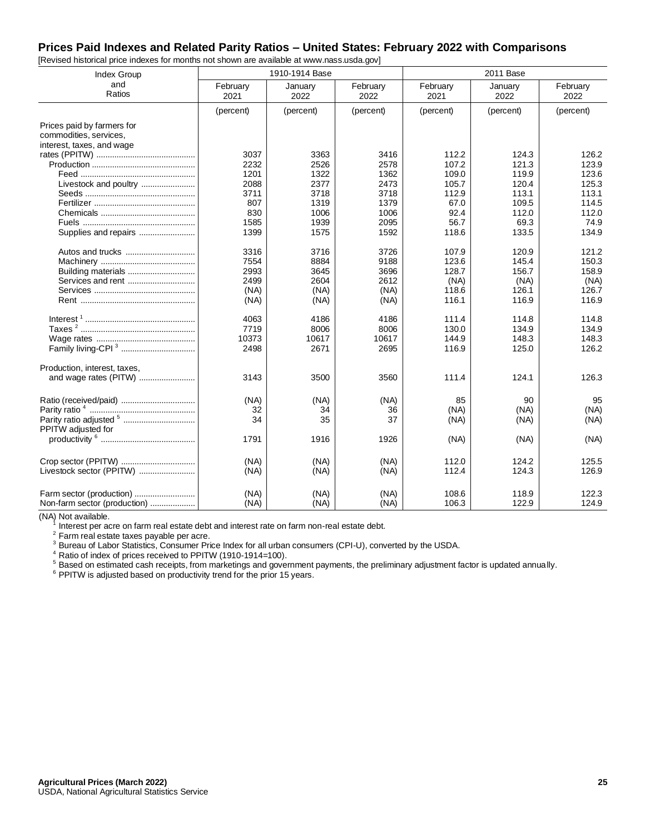# **Prices Paid Indexes and Related Parity Ratios – United States: February 2022 with Comparisons**

| Index Group                    |                  | 1910-1914 Base  |                  |                  | 2011 Base       |                  |
|--------------------------------|------------------|-----------------|------------------|------------------|-----------------|------------------|
| and<br>Ratios                  | February<br>2021 | January<br>2022 | February<br>2022 | February<br>2021 | January<br>2022 | February<br>2022 |
|                                | (percent)        | (percent)       | (percent)        | (percent)        | (percent)       | (percent)        |
| Prices paid by farmers for     |                  |                 |                  |                  |                 |                  |
| commodities, services,         |                  |                 |                  |                  |                 |                  |
| interest, taxes, and wage      |                  |                 |                  |                  |                 |                  |
|                                | 3037             | 3363            | 3416             | 112.2            | 124.3           | 126.2            |
|                                | 2232             | 2526            | 2578             | 107.2            | 121.3           | 123.9            |
|                                | 1201             | 1322            | 1362             | 109.0            | 119.9           | 123.6            |
| Livestock and poultry          | 2088             | 2377            | 2473             | 105.7            | 120.4           | 125.3            |
|                                | 3711             | 3718            | 3718             | 112.9            | 113.1           | 113.1            |
|                                | 807              | 1319            | 1379             | 67.0             | 109.5           | 114.5            |
|                                | 830              | 1006            | 1006             | 92.4             | 112.0           | 112.0            |
|                                | 1585             | 1939            | 2095             | 56.7             | 69.3            | 74.9             |
| Supplies and repairs           | 1399             | 1575            | 1592             | 118.6            | 133.5           | 134.9            |
|                                | 3316             | 3716            | 3726             | 107.9            | 120.9           | 121.2            |
|                                | 7554             | 8884            | 9188             | 123.6            | 145.4           | 150.3            |
|                                | 2993             | 3645            | 3696             | 128.7            | 156.7           | 158.9            |
| Services and rent              | 2499             | 2604            | 2612             | (NA)             | (NA)            | (NA)             |
|                                | (NA)             | (NA)            | (NA)             | 118.6            | 126.1           | 126.7            |
|                                | (NA)             | (NA)            | (NA)             | 116.1            | 116.9           | 116.9            |
|                                | 4063             | 4186            | 4186             | 111.4            | 114.8           | 114.8            |
|                                | 7719             | 8006            | 8006             | 130.0            | 134.9           | 134.9            |
|                                | 10373            | 10617           | 10617            | 144.9            | 148.3           | 148.3            |
| Family living-CPI <sup>3</sup> | 2498             | 2671            | 2695             | 116.9            | 125.0           | 126.2            |
| Production, interest, taxes,   |                  |                 |                  |                  |                 |                  |
| and wage rates (PITW)          | 3143             | 3500            | 3560             | 111.4            | 124.1           | 126.3            |
|                                | (NA)             | (NA)            | (NA)             | 85               | 90              | 95               |
|                                | 32               | 34              | 36               | (NA)             | (NA)            | (NA)             |
| PPITW adjusted for             | 34               | 35              | 37               | (NA)             | (NA)            | (NA)             |
|                                | 1791             | 1916            | 1926             | (NA)             | (NA)            | (NA)             |
|                                | (NA)             | (NA)            | (NA)             | 112.0            | 124.2           | 125.5            |
| Livestock sector (PPITW)       | (NA)             | (NA)            | (NA)             | 112.4            | 124.3           | 126.9            |
|                                | (NA)             | (NA)            | (NA)             | 108.6            | 118.9           | 122.3            |
| Non-farm sector (production)   | (NA)             | (NA)            | (NA)             | 106.3            | 122.9           | 124.9            |

[Revised historical price indexes for months not shown are available at www.nass.usda.gov]

(NA) Not available.

 $1$  Interest per acre on farm real estate debt and interest rate on farm non-real estate debt.

 $2$  Farm real estate taxes payable per acre.

<sup>3</sup> Bureau of Labor Statistics, Consumer Price Index for all urban consumers (CPI-U), converted by the USDA.

<sup>4</sup> Ratio of index of prices received to PPITW (1910-1914=100).

<sup>5</sup> Based on estimated cash receipts, from marketings and government payments, the preliminary adjustment factor is updated annually.

 $6$  PPITW is adjusted based on productivity trend for the prior 15 years.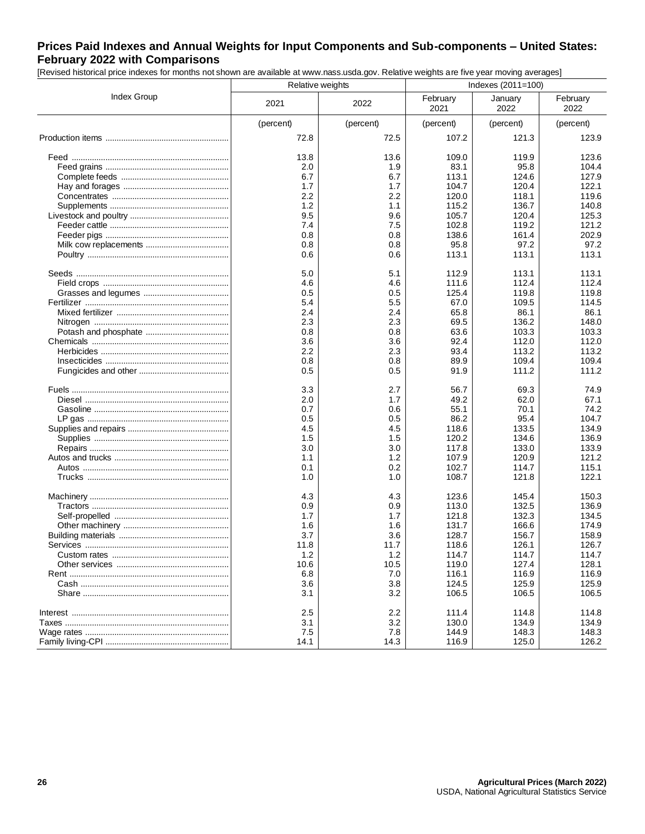# **Prices Paid Indexes and Annual Weights for Input Components and Sub-components – United States: February 2022 with Comparisons**

[Revised historical price indexes for months not shown are available at www.nass.usda.gov. Relative weights are five year moving averages]

|                    | Relative weights |           | Indexes (2011=100) |                 |                  |  |
|--------------------|------------------|-----------|--------------------|-----------------|------------------|--|
| <b>Index Group</b> | 2021             | 2022      | February<br>2021   | January<br>2022 | February<br>2022 |  |
|                    | (percent)        | (percent) | (percent)          | (percent)       | (percent)        |  |
|                    | 72.8             | 72.5      | 107.2              | 121.3           | 123.9            |  |
|                    | 13.8             | 13.6      | 109.0              | 119.9           | 123.6            |  |
|                    | 2.0              | 1.9       | 83.1               | 95.8            | 104.4            |  |
|                    | 6.7              | 6.7       | 113.1              | 124.6           | 127.9            |  |
|                    | 1.7              | 1.7       | 104.7              | 120.4           | 122.1            |  |
|                    | 2.2              | 2.2       | 120.0              | 118.1           | 119.6            |  |
|                    | 1.2              | 1.1       | 115.2              | 136.7           | 140.8            |  |
|                    | 9.5              | 9.6       | 105.7              | 120.4           | 125.3            |  |
|                    | 7.4              | 7.5       | 102.8              | 119.2           | 121.2            |  |
|                    |                  |           |                    | 161.4           |                  |  |
|                    | 0.8              | 0.8       | 138.6              |                 | 202.9<br>97.2    |  |
|                    | 0.8              | 0.8       | 95.8               | 97.2            |                  |  |
|                    | 0.6              | 0.6       | 113.1              | 113.1           | 113.1            |  |
|                    | 5.0              | 5.1       | 112.9              | 113.1           | 113.1            |  |
|                    | 4.6              | 4.6       | 111.6              | 112.4           | 112.4            |  |
|                    | 0.5              | 0.5       | 125.4              | 119.8           | 119.8            |  |
|                    | 5.4              | 5.5       | 67.0               | 109.5           | 114.5            |  |
|                    | 2.4              | 2.4       | 65.8               | 86.1            | 86.1             |  |
|                    | 2.3              | 2.3       | 69.5               | 136.2           | 148.0            |  |
|                    | 0.8              | 0.8       | 63.6               | 103.3           | 103.3            |  |
|                    | 3.6              | 3.6       | 92.4               | 112.0           | 112.0            |  |
|                    | 2.2              | 2.3       | 93.4               | 113.2           | 113.2            |  |
|                    | 0.8              | 0.8       | 89.9               | 109.4           | 109.4            |  |
|                    | 0.5              | 0.5       | 91.9               | 111.2           | 111.2            |  |
|                    | 3.3              | 2.7       | 56.7               | 69.3            | 74.9             |  |
|                    | 2.0              | 1.7       | 49.2               | 62.0            | 67.1             |  |
|                    | 0.7              | 0.6       | 55.1               | 70.1            | 74.2             |  |
|                    | 0.5              | 0.5       | 86.2               | 95.4            | 104.7            |  |
|                    | 4.5              | 4.5       | 118.6              | 133.5           | 134.9            |  |
|                    | 1.5              | 1.5       | 120.2              | 134.6           | 136.9            |  |
|                    | 3.0              | 3.0       | 117.8              | 133.0           | 133.9            |  |
|                    | 1.1              | 1.2       | 107.9              | 120.9           | 121.2            |  |
|                    | 0.1              | 0.2       | 102.7              | 114.7           | 115.1            |  |
|                    | 1.0              | 1.0       | 108.7              | 121.8           | 122.1            |  |
|                    | 4.3              | 4.3       | 123.6              | 145.4           | 150.3            |  |
|                    | 0.9              | 0.9       | 113.0              | 132.5           | 136.9            |  |
|                    | 1.7              | 1.7       | 121.8              | 132.3           | 134.5            |  |
|                    | 1.6              | 1.6       | 131.7              | 166.6           | 174.9            |  |
|                    | 3.7              | 3.6       | 128.7              | 156.7           | 158.9            |  |
|                    | 11.8             | 11.7      | 118.6              | 126.1           | 126.7            |  |
|                    | 1.2              | 1.2       | 114.7              | 114.7           | 114.7            |  |
|                    | 10.6             | 10.5      | 119.0              | 127.4           | 128.1            |  |
|                    | 6.8              | 7.0       | 116.1              | 116.9           | 116.9            |  |
|                    | 3.6              | 3.8       | 124.5              | 125.9           | 125.9            |  |
|                    | 3.1              | 3.2       | 106.5              | 106.5           | 106.5            |  |
|                    |                  |           |                    |                 |                  |  |
|                    | 2.5              | 2.2       | 111.4              | 114.8           | 114.8            |  |
|                    | 3.1              | 3.2       | 130.0              | 134.9           | 134.9            |  |
|                    | 7.5              | 7.8       | 144.9              | 148.3           | 148.3            |  |
|                    | 14.1             | 14.3      | 116.9              | 125.0           | 126.2            |  |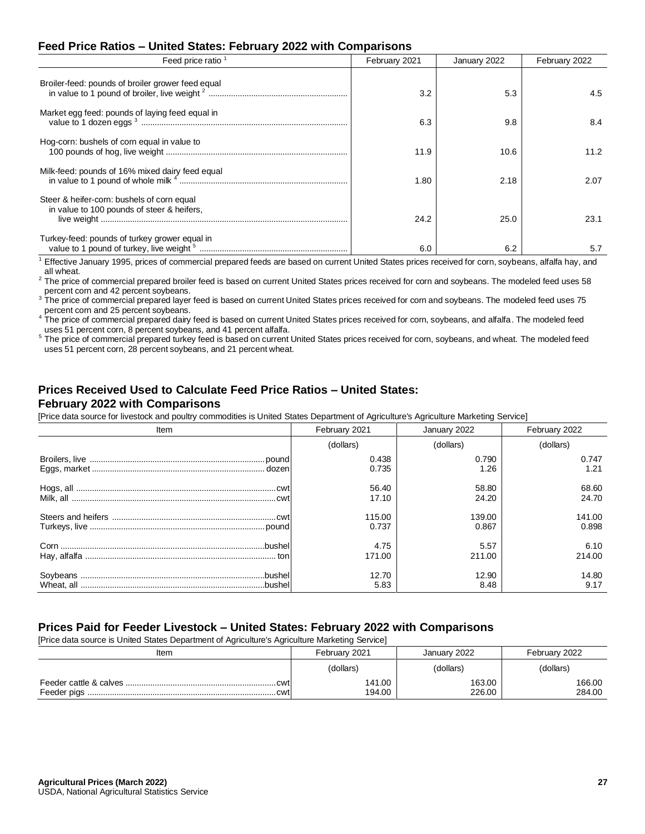## **Feed Price Ratios – United States: February 2022 with Comparisons**

| Feed price ratio                                                                         | February 2021 | January 2022 | February 2022 |
|------------------------------------------------------------------------------------------|---------------|--------------|---------------|
| Broiler-feed: pounds of broiler grower feed equal                                        | 3.2           | 5.3          | 4.5           |
| Market egg feed: pounds of laying feed equal in                                          | 6.3           | 9.8          | 8.4           |
| Hog-corn: bushels of corn equal in value to                                              | 11.9          | 10.6         | 11.2          |
| Milk-feed: pounds of 16% mixed dairy feed equal<br>in value to 1 pound of whole milk 4   | 1.80          | 2.18         | 2.07          |
| Steer & heifer-corn: bushels of corn equal<br>in value to 100 pounds of steer & heifers. | 24.2          | 25.0         | 23.1          |
| Turkey-feed: pounds of turkey grower equal in                                            | 6.0           | 6.2          | 5.7           |

<sup>1</sup> Effective January 1995, prices of commercial prepared feeds are based on current United States prices received for corn, soybeans, alfalfa hay, and all wheat.

2 The price of commercial prepared broiler feed is based on current United States prices received for corn and soybeans. The modeled feed uses 58 percent corn and 42 percent soybeans.<br><sup>3</sup> The price of correction

<sup>3</sup> The price of commercial prepared layer feed is based on current United States prices received for corn and soybeans. The modeled feed uses 75 percent corn and 25 percent soybeans.

<sup>4</sup> The price of commercial prepared dairy feed is based on current United States prices received for corn, soybeans, and alfalfa. The modeled feed uses 51 percent corn, 8 percent soybeans, and 41 percent alfalfa.

<sup>5</sup> The price of commercial prepared turkey feed is based on current United States prices received for corn, soybeans, and wheat. The modeled feed uses 51 percent corn, 28 percent soybeans, and 21 percent wheat.

#### **Prices Received Used to Calculate Feed Price Ratios – United States: February 2022 with Comparisons**

[Price data source for livestock and poultry commodities is United States Department of Agriculture's Agriculture Marketing Service]

| Item | February 2021 | January 2022 | February 2022 |  |
|------|---------------|--------------|---------------|--|
|      | (dollars)     | (dollars)    | (dollars)     |  |
|      | 0.438         | 0.790        | 0.747         |  |
|      | 0.735         | 1.26         | 1.21          |  |
|      | 56.40         | 58.80        | 68.60         |  |
|      | 17.10         | 24.20        | 24.70         |  |
|      | 115.00        | 139.00       | 141.00        |  |
|      | 0.737         | 0.867        | 0.898         |  |
|      | 4.75          | 5.57         | 6.10          |  |
|      | 171.00        | 211.00       | 214.00        |  |
|      | 12.70         | 12.90        | 14.80         |  |
|      | 5.83          | 8.48         | 9.17          |  |

#### **Prices Paid for Feeder Livestock – United States: February 2022 with Comparisons**

[Price data source is United States Department of Agriculture's Agriculture Marketing Service]

| Item | February 2021    | January 2022     | February 2022    |  |
|------|------------------|------------------|------------------|--|
|      | (dollars)        | (dollars)        | (dollars)        |  |
| cwt  | 141.00<br>194.00 | 163.00<br>226.00 | 166.00<br>284.00 |  |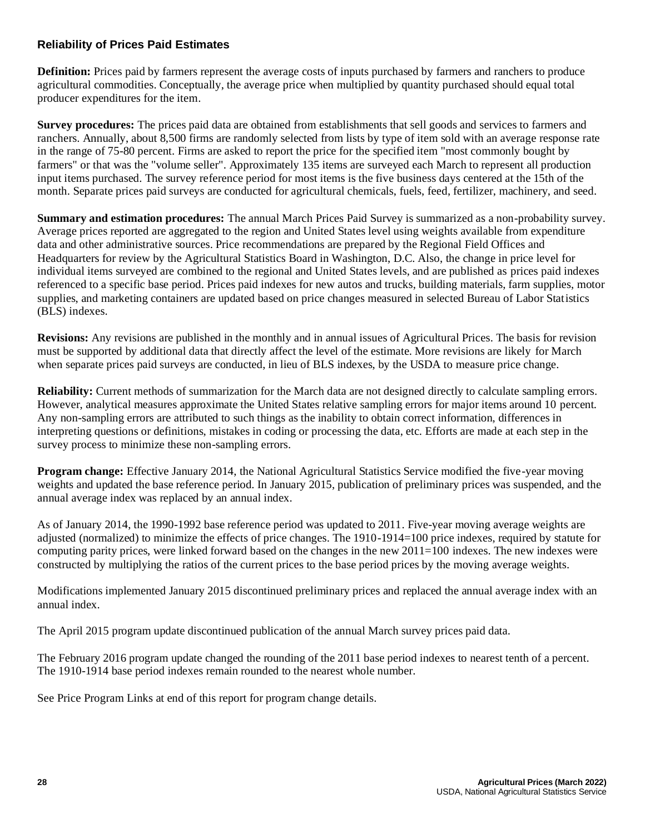# **Reliability of Prices Paid Estimates**

**Definition:** Prices paid by farmers represent the average costs of inputs purchased by farmers and ranchers to produce agricultural commodities. Conceptually, the average price when multiplied by quantity purchased should equal total producer expenditures for the item.

**Survey procedures:** The prices paid data are obtained from establishments that sell goods and services to farmers and ranchers. Annually, about 8,500 firms are randomly selected from lists by type of item sold with an average response rate in the range of 75-80 percent. Firms are asked to report the price for the specified item "most commonly bought by farmers" or that was the "volume seller". Approximately 135 items are surveyed each March to represent all production input items purchased. The survey reference period for most items is the five business days centered at the 15th of the month. Separate prices paid surveys are conducted for agricultural chemicals, fuels, feed, fertilizer, machinery, and seed.

**Summary and estimation procedures:** The annual March Prices Paid Survey is summarized as a non-probability survey. Average prices reported are aggregated to the region and United States level using weights available from expenditure data and other administrative sources. Price recommendations are prepared by the Regional Field Offices and Headquarters for review by the Agricultural Statistics Board in Washington, D.C. Also, the change in price level for individual items surveyed are combined to the regional and United States levels, and are published as prices paid indexes referenced to a specific base period. Prices paid indexes for new autos and trucks, building materials, farm supplies, motor supplies, and marketing containers are updated based on price changes measured in selected Bureau of Labor Statistics (BLS) indexes.

**Revisions:** Any revisions are published in the monthly and in annual issues of Agricultural Prices. The basis for revision must be supported by additional data that directly affect the level of the estimate. More revisions are likely for March when separate prices paid surveys are conducted, in lieu of BLS indexes, by the USDA to measure price change.

**Reliability:** Current methods of summarization for the March data are not designed directly to calculate sampling errors. However, analytical measures approximate the United States relative sampling errors for major items around 10 percent. Any non-sampling errors are attributed to such things as the inability to obtain correct information, differences in interpreting questions or definitions, mistakes in coding or processing the data, etc. Efforts are made at each step in the survey process to minimize these non-sampling errors.

**Program change:** Effective January 2014, the National Agricultural Statistics Service modified the five-year moving weights and updated the base reference period. In January 2015, publication of preliminary prices was suspended, and the annual average index was replaced by an annual index.

As of January 2014, the 1990-1992 base reference period was updated to 2011. Five-year moving average weights are adjusted (normalized) to minimize the effects of price changes. The 1910-1914=100 price indexes, required by statute for computing parity prices, were linked forward based on the changes in the new 2011=100 indexes. The new indexes were constructed by multiplying the ratios of the current prices to the base period prices by the moving average weights.

Modifications implemented January 2015 discontinued preliminary prices and replaced the annual average index with an annual index.

The April 2015 program update discontinued publication of the annual March survey prices paid data.

The February 2016 program update changed the rounding of the 2011 base period indexes to nearest tenth of a percent. The 1910-1914 base period indexes remain rounded to the nearest whole number.

See Price Program Links at end of this report for program change details.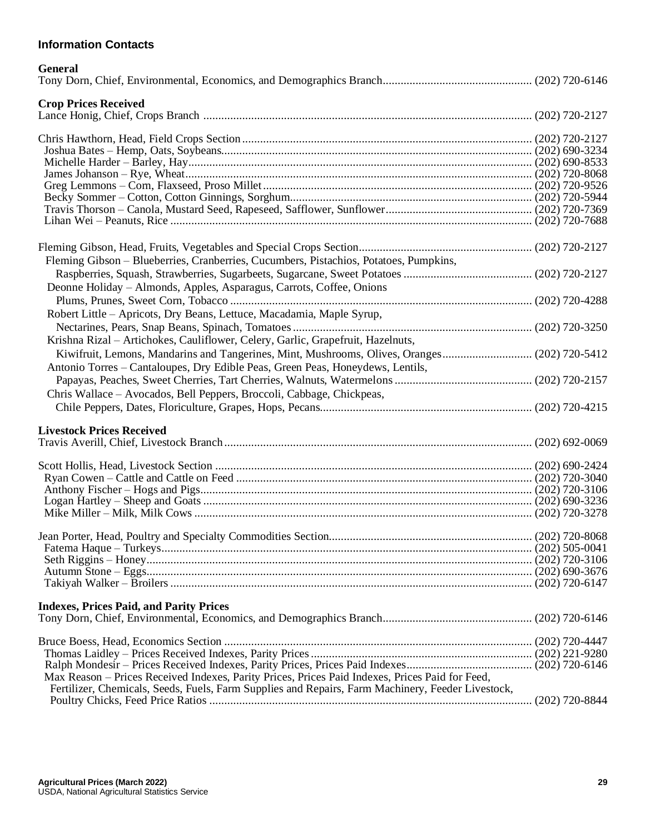# **Information Contacts**

| <b>General</b>                                                                                                                                                                                       |  |
|------------------------------------------------------------------------------------------------------------------------------------------------------------------------------------------------------|--|
| <b>Crop Prices Received</b>                                                                                                                                                                          |  |
|                                                                                                                                                                                                      |  |
|                                                                                                                                                                                                      |  |
|                                                                                                                                                                                                      |  |
|                                                                                                                                                                                                      |  |
|                                                                                                                                                                                                      |  |
|                                                                                                                                                                                                      |  |
|                                                                                                                                                                                                      |  |
|                                                                                                                                                                                                      |  |
|                                                                                                                                                                                                      |  |
| Fleming Gibson - Blueberries, Cranberries, Cucumbers, Pistachios, Potatoes, Pumpkins,                                                                                                                |  |
|                                                                                                                                                                                                      |  |
| Deonne Holiday - Almonds, Apples, Asparagus, Carrots, Coffee, Onions                                                                                                                                 |  |
|                                                                                                                                                                                                      |  |
| Robert Little - Apricots, Dry Beans, Lettuce, Macadamia, Maple Syrup,                                                                                                                                |  |
|                                                                                                                                                                                                      |  |
| Krishna Rizal - Artichokes, Cauliflower, Celery, Garlic, Grapefruit, Hazelnuts,                                                                                                                      |  |
| Kiwifruit, Lemons, Mandarins and Tangerines, Mint, Mushrooms, Olives, Oranges (202) 720-5412                                                                                                         |  |
| Antonio Torres - Cantaloupes, Dry Edible Peas, Green Peas, Honeydews, Lentils,                                                                                                                       |  |
|                                                                                                                                                                                                      |  |
| Chris Wallace - Avocados, Bell Peppers, Broccoli, Cabbage, Chickpeas,                                                                                                                                |  |
|                                                                                                                                                                                                      |  |
|                                                                                                                                                                                                      |  |
| <b>Livestock Prices Received</b>                                                                                                                                                                     |  |
|                                                                                                                                                                                                      |  |
|                                                                                                                                                                                                      |  |
|                                                                                                                                                                                                      |  |
|                                                                                                                                                                                                      |  |
|                                                                                                                                                                                                      |  |
|                                                                                                                                                                                                      |  |
|                                                                                                                                                                                                      |  |
|                                                                                                                                                                                                      |  |
|                                                                                                                                                                                                      |  |
|                                                                                                                                                                                                      |  |
|                                                                                                                                                                                                      |  |
|                                                                                                                                                                                                      |  |
| <b>Indexes, Prices Paid, and Parity Prices</b>                                                                                                                                                       |  |
|                                                                                                                                                                                                      |  |
|                                                                                                                                                                                                      |  |
|                                                                                                                                                                                                      |  |
|                                                                                                                                                                                                      |  |
| Max Reason - Prices Received Indexes, Parity Prices, Prices Paid Indexes, Prices Paid for Feed,<br>Fertilizer, Chemicals, Seeds, Fuels, Farm Supplies and Repairs, Farm Machinery, Feeder Livestock, |  |
|                                                                                                                                                                                                      |  |
|                                                                                                                                                                                                      |  |